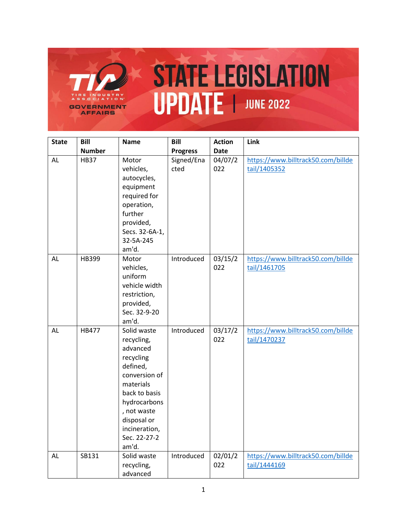

| <b>State</b> | Bill          | <b>Name</b>                                                                                                                                                                                           | <b>Bill</b>        | <b>Action</b>  | Link                                               |
|--------------|---------------|-------------------------------------------------------------------------------------------------------------------------------------------------------------------------------------------------------|--------------------|----------------|----------------------------------------------------|
|              | <b>Number</b> |                                                                                                                                                                                                       | <b>Progress</b>    | <b>Date</b>    |                                                    |
| AL           | <b>HB37</b>   | Motor<br>vehicles,<br>autocycles,<br>equipment<br>required for<br>operation,<br>further<br>provided,<br>Secs. 32-6A-1,<br>32-5A-245<br>am'd.                                                          | Signed/Ena<br>cted | 04/07/2<br>022 | https://www.billtrack50.com/billde<br>tail/1405352 |
| AL           | HB399         | Motor<br>vehicles,<br>uniform<br>vehicle width<br>restriction,<br>provided,<br>Sec. 32-9-20<br>am'd.                                                                                                  | Introduced         | 03/15/2<br>022 | https://www.billtrack50.com/billde<br>tail/1461705 |
| AL           | <b>HB477</b>  | Solid waste<br>recycling,<br>advanced<br>recycling<br>defined,<br>conversion of<br>materials<br>back to basis<br>hydrocarbons<br>, not waste<br>disposal or<br>incineration,<br>Sec. 22-27-2<br>am'd. | Introduced         | 03/17/2<br>022 | https://www.billtrack50.com/billde<br>tail/1470237 |
| AL           | SB131         | Solid waste<br>recycling,<br>advanced                                                                                                                                                                 | Introduced         | 02/01/2<br>022 | https://www.billtrack50.com/billde<br>tail/1444169 |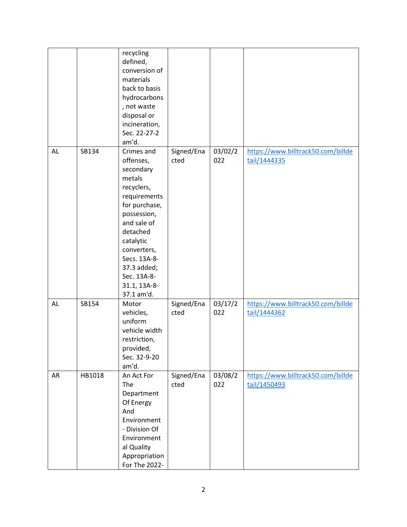|    |        | recycling<br>defined,<br>conversion of<br>materials<br>back to basis<br>hydrocarbons<br>, not waste<br>disposal or<br>incineration,<br>Sec. 22-27-2<br>am'd.                                                                                    |                    |                |                                                    |
|----|--------|-------------------------------------------------------------------------------------------------------------------------------------------------------------------------------------------------------------------------------------------------|--------------------|----------------|----------------------------------------------------|
| AL | SB134  | Crimes and<br>offenses,<br>secondary<br>metals<br>recyclers,<br>requirements<br>for purchase,<br>possession,<br>and sale of<br>detached<br>catalytic<br>converters,<br>Secs. 13A-8-<br>37.3 added;<br>Sec. 13A-8-<br>31.1, 13A-8-<br>37.1 am'd. | Signed/Ena<br>cted | 03/02/2<br>022 | https://www.billtrack50.com/billde<br>tail/1444335 |
| AL | SB154  | Motor<br>vehicles,<br>uniform<br>vehicle width<br>restriction,<br>provided,<br>Sec. 32-9-20<br>am'd.                                                                                                                                            | Signed/Ena<br>cted | 03/17/2<br>022 | https://www.billtrack50.com/billde<br>tail/1444362 |
| AR | HB1018 | An Act For<br>The<br>Department<br>Of Energy<br>And<br>Environment<br>- Division Of<br>Environment<br>al Quality<br>Appropriation<br>For The 2022-                                                                                              | Signed/Ena<br>cted | 03/08/2<br>022 | https://www.billtrack50.com/billde<br>tail/1450493 |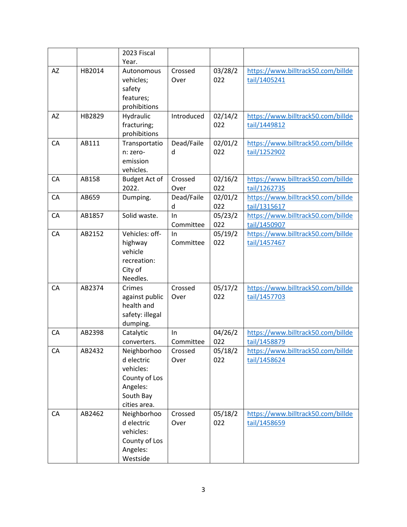|    |        | 2023 Fiscal          |            |         |                                                    |
|----|--------|----------------------|------------|---------|----------------------------------------------------|
|    |        | Year.                |            |         |                                                    |
| AZ | HB2014 | Autonomous           | Crossed    | 03/28/2 | https://www.billtrack50.com/billde                 |
|    |        | vehicles;            | Over       | 022     | tail/1405241                                       |
|    |        | safety               |            |         |                                                    |
|    |        | features;            |            |         |                                                    |
|    |        | prohibitions         |            |         |                                                    |
| AZ | HB2829 | Hydraulic            | Introduced | 02/14/2 | https://www.billtrack50.com/billde                 |
|    |        | fracturing;          |            | 022     | tail/1449812                                       |
|    |        | prohibitions         |            |         |                                                    |
| CA | AB111  | Transportatio        | Dead/Faile | 02/01/2 | https://www.billtrack50.com/billde                 |
|    |        | n: zero-             | d          | 022     | tail/1252902                                       |
|    |        | emission             |            |         |                                                    |
|    |        | vehicles.            |            |         |                                                    |
| CA | AB158  | <b>Budget Act of</b> | Crossed    | 02/16/2 | https://www.billtrack50.com/billde                 |
|    |        | 2022.                | Over       | 022     | tail/1262735                                       |
| CA | AB659  | Dumping.             | Dead/Faile | 02/01/2 | https://www.billtrack50.com/billde                 |
|    |        |                      | d          | 022     | tail/1315617                                       |
| CA | AB1857 | Solid waste.         | In         | 05/23/2 | https://www.billtrack50.com/billde                 |
|    |        |                      | Committee  | 022     | tail/1450907                                       |
| CA | AB2152 | Vehicles: off-       | In         | 05/19/2 | https://www.billtrack50.com/billde                 |
|    |        | highway              | Committee  | 022     | tail/1457467                                       |
|    |        | vehicle              |            |         |                                                    |
|    |        | recreation:          |            |         |                                                    |
|    |        | City of              |            |         |                                                    |
| CA | AB2374 | Needles.<br>Crimes   | Crossed    | 05/17/2 |                                                    |
|    |        | against public       | Over       | 022     | https://www.billtrack50.com/billde<br>tail/1457703 |
|    |        | health and           |            |         |                                                    |
|    |        | safety: illegal      |            |         |                                                    |
|    |        | dumping.             |            |         |                                                    |
| CA | AB2398 | Catalytic            | In         | 04/26/2 | https://www.billtrack50.com/billde                 |
|    |        | converters.          | Committee  | 022     | tail/1458879                                       |
| CA | AB2432 | Neighborhoo          | Crossed    | 05/18/2 | https://www.billtrack50.com/billde                 |
|    |        | d electric           | Over       | 022     | tail/1458624                                       |
|    |        | vehicles:            |            |         |                                                    |
|    |        | County of Los        |            |         |                                                    |
|    |        | Angeles:             |            |         |                                                    |
|    |        | South Bay            |            |         |                                                    |
|    |        | cities area.         |            |         |                                                    |
| CA | AB2462 | Neighborhoo          | Crossed    | 05/18/2 | https://www.billtrack50.com/billde                 |
|    |        | d electric           | Over       | 022     | tail/1458659                                       |
|    |        | vehicles:            |            |         |                                                    |
|    |        | County of Los        |            |         |                                                    |
|    |        | Angeles:             |            |         |                                                    |
|    |        | Westside             |            |         |                                                    |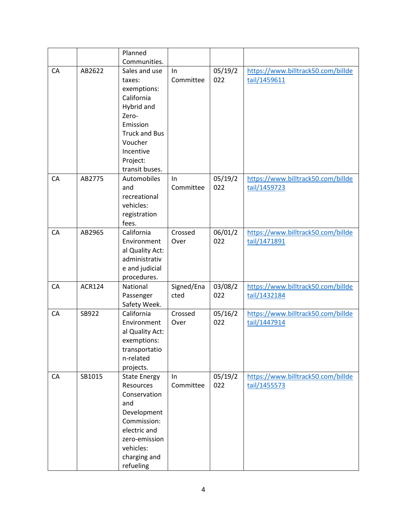|    |               | Planned                                                                                                                                                               |                    |                |                                                    |
|----|---------------|-----------------------------------------------------------------------------------------------------------------------------------------------------------------------|--------------------|----------------|----------------------------------------------------|
|    |               | Communities.                                                                                                                                                          |                    |                |                                                    |
| CA | AB2622        | Sales and use<br>taxes:<br>exemptions:<br>California<br>Hybrid and<br>Zero-<br>Emission<br><b>Truck and Bus</b><br>Voucher<br>Incentive<br>Project:<br>transit buses. | In<br>Committee    | 05/19/2<br>022 | https://www.billtrack50.com/billde<br>tail/1459611 |
| CA | AB2775        | Automobiles<br>and<br>recreational<br>vehicles:<br>registration<br>fees.                                                                                              | In<br>Committee    | 05/19/2<br>022 | https://www.billtrack50.com/billde<br>tail/1459723 |
| CA | AB2965        | California<br>Environment<br>al Quality Act:<br>administrativ<br>e and judicial<br>procedures.                                                                        | Crossed<br>Over    | 06/01/2<br>022 | https://www.billtrack50.com/billde<br>tail/1471891 |
| CA | <b>ACR124</b> | National<br>Passenger<br>Safety Week.                                                                                                                                 | Signed/Ena<br>cted | 03/08/2<br>022 | https://www.billtrack50.com/billde<br>tail/1432184 |
| CA | SB922         | California<br>Environment<br>al Quality Act:<br>exemptions:<br>transportatio<br>n-related<br>projects.                                                                | Crossed<br>Over    | 05/16/2<br>022 | https://www.billtrack50.com/billde<br>tail/1447914 |
| CA | SB1015        | <b>State Energy</b><br>Resources<br>Conservation<br>and<br>Development<br>Commission:<br>electric and<br>zero-emission<br>vehicles:<br>charging and<br>refueling      | In<br>Committee    | 05/19/2<br>022 | https://www.billtrack50.com/billde<br>tail/1455573 |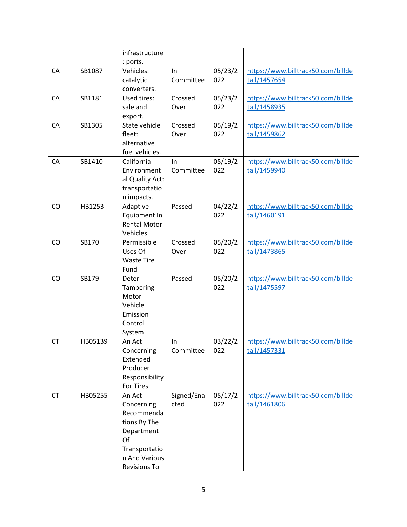|           |         | infrastructure<br>: ports.                                                                                                      |                    |                |                                                    |
|-----------|---------|---------------------------------------------------------------------------------------------------------------------------------|--------------------|----------------|----------------------------------------------------|
| CA        | SB1087  | Vehicles:<br>catalytic<br>converters.                                                                                           | In<br>Committee    | 05/23/2<br>022 | https://www.billtrack50.com/billde<br>tail/1457654 |
| CA        | SB1181  | Used tires:<br>sale and<br>export.                                                                                              | Crossed<br>Over    | 05/23/2<br>022 | https://www.billtrack50.com/billde<br>tail/1458935 |
| CA        | SB1305  | State vehicle<br>fleet:<br>alternative<br>fuel vehicles.                                                                        | Crossed<br>Over    | 05/19/2<br>022 | https://www.billtrack50.com/billde<br>tail/1459862 |
| CA        | SB1410  | California<br>Environment<br>al Quality Act:<br>transportatio<br>n impacts.                                                     | In<br>Committee    | 05/19/2<br>022 | https://www.billtrack50.com/billde<br>tail/1459940 |
| CO        | HB1253  | Adaptive<br>Equipment In<br><b>Rental Motor</b><br>Vehicles                                                                     | Passed             | 04/22/2<br>022 | https://www.billtrack50.com/billde<br>tail/1460191 |
| CO        | SB170   | Permissible<br>Uses Of<br><b>Waste Tire</b><br>Fund                                                                             | Crossed<br>Over    | 05/20/2<br>022 | https://www.billtrack50.com/billde<br>tail/1473865 |
| CO        | SB179   | Deter<br>Tampering<br>Motor<br>Vehicle<br>Emission<br>Control<br>System                                                         | Passed             | 05/20/2<br>022 | https://www.billtrack50.com/billde<br>tail/1475597 |
| <b>CT</b> | HB05139 | An Act<br>Concerning<br>Extended<br>Producer<br>Responsibility<br>For Tires.                                                    | In<br>Committee    | 03/22/2<br>022 | https://www.billtrack50.com/billde<br>tail/1457331 |
| <b>CT</b> | HB05255 | An Act<br>Concerning<br>Recommenda<br>tions By The<br>Department<br>Of<br>Transportatio<br>n And Various<br><b>Revisions To</b> | Signed/Ena<br>cted | 05/17/2<br>022 | https://www.billtrack50.com/billde<br>tail/1461806 |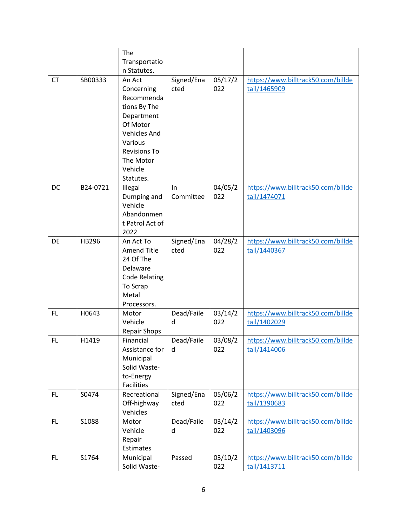|           |          | The                  |                    |         |                                    |
|-----------|----------|----------------------|--------------------|---------|------------------------------------|
|           |          | Transportatio        |                    |         |                                    |
|           |          | n Statutes.          |                    |         |                                    |
| <b>CT</b> | SB00333  | An Act               | Signed/Ena         | 05/17/2 | https://www.billtrack50.com/billde |
|           |          | Concerning           | cted               | 022     | tail/1465909                       |
|           |          | Recommenda           |                    |         |                                    |
|           |          | tions By The         |                    |         |                                    |
|           |          | Department           |                    |         |                                    |
|           |          | Of Motor             |                    |         |                                    |
|           |          | <b>Vehicles And</b>  |                    |         |                                    |
|           |          | Various              |                    |         |                                    |
|           |          | <b>Revisions To</b>  |                    |         |                                    |
|           |          | The Motor            |                    |         |                                    |
|           |          | Vehicle              |                    |         |                                    |
|           |          | Statutes.            |                    |         |                                    |
| DC        | B24-0721 | Illegal              | In                 | 04/05/2 | https://www.billtrack50.com/billde |
|           |          | Dumping and          | Committee          | 022     | tail/1474071                       |
|           |          | Vehicle              |                    |         |                                    |
|           |          | Abandonmen           |                    |         |                                    |
|           |          | t Patrol Act of      |                    |         |                                    |
| DE        | HB296    | 2022<br>An Act To    |                    | 04/28/2 | https://www.billtrack50.com/billde |
|           |          | <b>Amend Title</b>   | Signed/Ena<br>cted | 022     | tail/1440367                       |
|           |          | 24 Of The            |                    |         |                                    |
|           |          | Delaware             |                    |         |                                    |
|           |          | <b>Code Relating</b> |                    |         |                                    |
|           |          | To Scrap             |                    |         |                                    |
|           |          | Metal                |                    |         |                                    |
|           |          | Processors.          |                    |         |                                    |
| FL        | H0643    | Motor                | Dead/Faile         | 03/14/2 | https://www.billtrack50.com/billde |
|           |          | Vehicle              | d                  | 022     | tail/1402029                       |
|           |          | <b>Repair Shops</b>  |                    |         |                                    |
| FL.       | H1419    | Financial            | Dead/Faile         | 03/08/2 | https://www.billtrack50.com/billde |
|           |          | Assistance for       | d                  | 022     | tail/1414006                       |
|           |          | Municipal            |                    |         |                                    |
|           |          | Solid Waste-         |                    |         |                                    |
|           |          | to-Energy            |                    |         |                                    |
|           |          | Facilities           |                    |         |                                    |
| FL.       | S0474    | Recreational         | Signed/Ena         | 05/06/2 | https://www.billtrack50.com/billde |
|           |          | Off-highway          | cted               | 022     | tail/1390683                       |
|           |          | Vehicles             |                    |         |                                    |
| FL.       | S1088    | Motor                | Dead/Faile         | 03/14/2 | https://www.billtrack50.com/billde |
|           |          | Vehicle<br>Repair    | d                  | 022     | tail/1403096                       |
|           |          | Estimates            |                    |         |                                    |
| FL.       | S1764    | Municipal            | Passed             | 03/10/2 | https://www.billtrack50.com/billde |
|           |          | Solid Waste-         |                    | 022     | tail/1413711                       |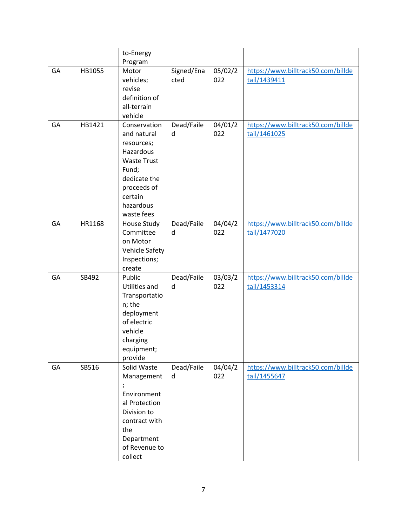|    |        | to-Energy                    |            |         |                                    |
|----|--------|------------------------------|------------|---------|------------------------------------|
|    |        | Program                      |            |         |                                    |
| GA | HB1055 | Motor                        | Signed/Ena | 05/02/2 | https://www.billtrack50.com/billde |
|    |        | vehicles;                    | cted       | 022     | tail/1439411                       |
|    |        | revise                       |            |         |                                    |
|    |        | definition of                |            |         |                                    |
|    |        | all-terrain                  |            |         |                                    |
|    |        | vehicle                      |            |         |                                    |
| GA | HB1421 | Conservation                 | Dead/Faile | 04/01/2 | https://www.billtrack50.com/billde |
|    |        | and natural                  | d          | 022     | tail/1461025                       |
|    |        | resources;                   |            |         |                                    |
|    |        | Hazardous                    |            |         |                                    |
|    |        | <b>Waste Trust</b>           |            |         |                                    |
|    |        | Fund;<br>dedicate the        |            |         |                                    |
|    |        | proceeds of                  |            |         |                                    |
|    |        | certain                      |            |         |                                    |
|    |        | hazardous                    |            |         |                                    |
|    |        | waste fees                   |            |         |                                    |
| GA | HR1168 | House Study                  | Dead/Faile | 04/04/2 | https://www.billtrack50.com/billde |
|    |        | Committee                    | d          | 022     | tail/1477020                       |
|    |        | on Motor                     |            |         |                                    |
|    |        | Vehicle Safety               |            |         |                                    |
|    |        | Inspections;                 |            |         |                                    |
|    |        | create                       |            |         |                                    |
| GA | SB492  | Public                       | Dead/Faile | 03/03/2 | https://www.billtrack50.com/billde |
|    |        | Utilities and                | d          | 022     | tail/1453314                       |
|    |        | Transportatio                |            |         |                                    |
|    |        | n; the                       |            |         |                                    |
|    |        | deployment                   |            |         |                                    |
|    |        | of electric                  |            |         |                                    |
|    |        | vehicle                      |            |         |                                    |
|    |        | charging                     |            |         |                                    |
|    |        | equipment;                   |            |         |                                    |
|    |        | provide                      |            |         |                                    |
| GA | SB516  | Solid Waste                  | Dead/Faile | 04/04/2 | https://www.billtrack50.com/billde |
|    |        | Management                   | d          | 022     | tail/1455647                       |
|    |        | $\pmb{\cdot}$                |            |         |                                    |
|    |        | Environment                  |            |         |                                    |
|    |        | al Protection                |            |         |                                    |
|    |        | Division to<br>contract with |            |         |                                    |
|    |        |                              |            |         |                                    |
|    |        | the                          |            |         |                                    |
|    |        | Department<br>of Revenue to  |            |         |                                    |
|    |        | collect                      |            |         |                                    |
|    |        |                              |            |         |                                    |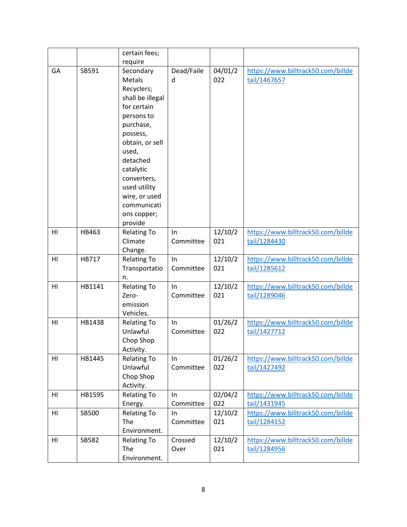|    |        | certain fees;            |                 |                |                                    |
|----|--------|--------------------------|-----------------|----------------|------------------------------------|
|    |        | require                  |                 |                |                                    |
| GA | SB591  | Secondary                | Dead/Faile      | 04/01/2        | https://www.billtrack50.com/billde |
|    |        | <b>Metals</b>            | d               | 022            | tail/1467657                       |
|    |        | Recyclers;               |                 |                |                                    |
|    |        | shall be illegal         |                 |                |                                    |
|    |        | for certain              |                 |                |                                    |
|    |        | persons to               |                 |                |                                    |
|    |        | purchase,                |                 |                |                                    |
|    |        | possess,                 |                 |                |                                    |
|    |        | obtain, or sell          |                 |                |                                    |
|    |        | used,                    |                 |                |                                    |
|    |        | detached                 |                 |                |                                    |
|    |        | catalytic                |                 |                |                                    |
|    |        | converters,              |                 |                |                                    |
|    |        | used utility             |                 |                |                                    |
|    |        | wire, or used            |                 |                |                                    |
|    |        | communicati              |                 |                |                                    |
|    |        | ons copper;              |                 |                |                                    |
|    |        | provide                  |                 |                |                                    |
| HI | HB463  | <b>Relating To</b>       | In              | 12/10/2        | https://www.billtrack50.com/billde |
|    |        | Climate                  | Committee       | 021            | tail/1284430                       |
|    |        | Change.                  |                 |                |                                    |
| HI | HB717  | <b>Relating To</b>       | In<br>Committee | 12/10/2<br>021 | https://www.billtrack50.com/billde |
|    |        | Transportatio            |                 |                | tail/1285612                       |
| HI | HB1141 | n.<br><b>Relating To</b> | In              | 12/10/2        | https://www.billtrack50.com/billde |
|    |        | Zero-                    | Committee       | 021            | tail/1289046                       |
|    |        | emission                 |                 |                |                                    |
|    |        | Vehicles.                |                 |                |                                    |
| HI | HB1438 | <b>Relating To</b>       | In              | 01/26/2        | https://www.billtrack50.com/billde |
|    |        | Unlawful                 | Committee       | 022            | tail/1427712                       |
|    |        | Chop Shop                |                 |                |                                    |
|    |        | Activity.                |                 |                |                                    |
| HI | HB1445 | <b>Relating To</b>       | In.             | 01/26/2        | https://www.billtrack50.com/billde |
|    |        | Unlawful                 | Committee       | 022            | tail/1427492                       |
|    |        | Chop Shop                |                 |                |                                    |
|    |        | Activity.                |                 |                |                                    |
| HI | HB1595 | <b>Relating To</b>       | In              | 02/04/2        | https://www.billtrack50.com/billde |
|    |        | Energy.                  | Committee       | 022            | tail/1431945                       |
| HI | SB500  | <b>Relating To</b>       | In              | 12/10/2        | https://www.billtrack50.com/billde |
|    |        | The                      | Committee       | 021            | tail/1284152                       |
|    |        | Environment.             |                 |                |                                    |
| HI | SB582  | <b>Relating To</b>       | Crossed         | 12/10/2        | https://www.billtrack50.com/billde |
|    |        | The                      | Over            | 021            | tail/1284956                       |
|    |        | Environment.             |                 |                |                                    |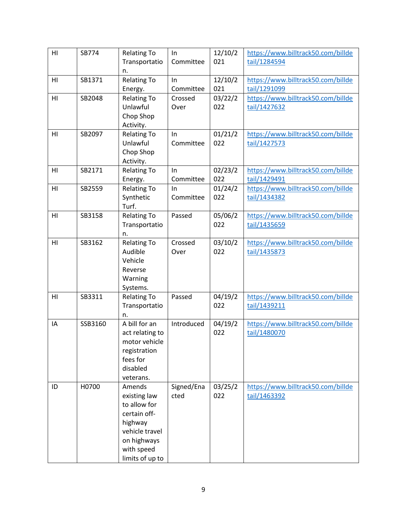| H1             | SB774   | <b>Relating To</b> | In         | 12/10/2 | https://www.billtrack50.com/billde |
|----------------|---------|--------------------|------------|---------|------------------------------------|
|                |         | Transportatio      | Committee  | 021     | tail/1284594                       |
|                |         | n.                 |            |         |                                    |
| HI             | SB1371  | <b>Relating To</b> | In         | 12/10/2 | https://www.billtrack50.com/billde |
|                |         | Energy.            | Committee  | 021     | tail/1291099                       |
| HI             | SB2048  | <b>Relating To</b> | Crossed    | 03/22/2 | https://www.billtrack50.com/billde |
|                |         | Unlawful           | Over       | 022     | tail/1427632                       |
|                |         | Chop Shop          |            |         |                                    |
|                |         | Activity.          |            |         |                                    |
| HI             | SB2097  | <b>Relating To</b> | In         | 01/21/2 | https://www.billtrack50.com/billde |
|                |         | Unlawful           | Committee  | 022     | tail/1427573                       |
|                |         | Chop Shop          |            |         |                                    |
|                |         | Activity.          |            |         |                                    |
| HI             | SB2171  | <b>Relating To</b> | In         | 02/23/2 | https://www.billtrack50.com/billde |
|                |         | Energy.            | Committee  | 022     | tail/1429491                       |
| HI             | SB2559  | <b>Relating To</b> | In         | 01/24/2 | https://www.billtrack50.com/billde |
|                |         | Synthetic          | Committee  | 022     | tail/1434382                       |
|                |         | Turf.              |            |         |                                    |
| H <sub>l</sub> | SB3158  | <b>Relating To</b> | Passed     | 05/06/2 | https://www.billtrack50.com/billde |
|                |         | Transportatio      |            | 022     | tail/1435659                       |
|                |         | n.                 |            |         |                                    |
| HI             | SB3162  | <b>Relating To</b> | Crossed    | 03/10/2 | https://www.billtrack50.com/billde |
|                |         | Audible            | Over       | 022     | tail/1435873                       |
|                |         | Vehicle            |            |         |                                    |
|                |         | Reverse            |            |         |                                    |
|                |         | Warning            |            |         |                                    |
|                |         | Systems.           |            |         |                                    |
| HI             | SB3311  | <b>Relating To</b> | Passed     | 04/19/2 | https://www.billtrack50.com/billde |
|                |         | Transportatio      |            | 022     | tail/1439211                       |
|                |         | n.                 |            |         |                                    |
| IA             | SSB3160 | A bill for an      | Introduced | 04/19/2 | https://www.billtrack50.com/billde |
|                |         | act relating to    |            | 022     | tail/1480070                       |
|                |         | motor vehicle      |            |         |                                    |
|                |         | registration       |            |         |                                    |
|                |         | fees for           |            |         |                                    |
|                |         | disabled           |            |         |                                    |
|                |         | veterans.          |            |         |                                    |
| ID             | H0700   | Amends             | Signed/Ena | 03/25/2 | https://www.billtrack50.com/billde |
|                |         | existing law       | cted       | 022     | tail/1463392                       |
|                |         | to allow for       |            |         |                                    |
|                |         | certain off-       |            |         |                                    |
|                |         | highway            |            |         |                                    |
|                |         | vehicle travel     |            |         |                                    |
|                |         | on highways        |            |         |                                    |
|                |         | with speed         |            |         |                                    |
|                |         | limits of up to    |            |         |                                    |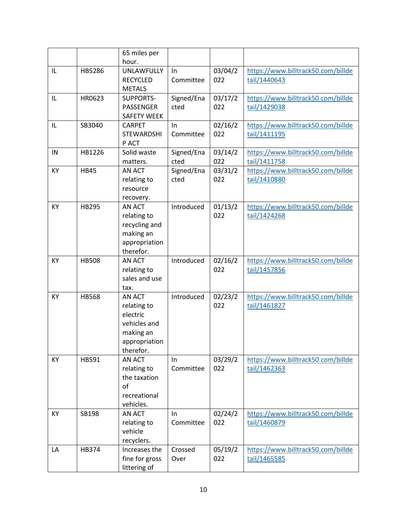|    |              | 65 miles per<br>hour. |            |         |                                    |
|----|--------------|-----------------------|------------|---------|------------------------------------|
| IL | HB5286       | <b>UNLAWFULLY</b>     | In         | 03/04/2 | https://www.billtrack50.com/billde |
|    |              | <b>RECYCLED</b>       | Committee  | 022     | tail/1440643                       |
|    |              | <b>METALS</b>         |            |         |                                    |
| IL | HR0623       | <b>SUPPORTS-</b>      | Signed/Ena | 03/17/2 | https://www.billtrack50.com/billde |
|    |              | PASSENGER             | cted       | 022     | tail/1429038                       |
|    |              | <b>SAFETY WEEK</b>    |            |         |                                    |
| IL | SB3040       | <b>CARPET</b>         | In         | 02/16/2 | https://www.billtrack50.com/billde |
|    |              | <b>STEWARDSHI</b>     | Committee  | 022     | tail/1411195                       |
|    |              | P ACT                 |            |         |                                    |
| IN | HB1226       | Solid waste           | Signed/Ena | 03/14/2 | https://www.billtrack50.com/billde |
|    |              | matters.              | cted       | 022     | tail/1411758                       |
| KY | <b>HB45</b>  | <b>AN ACT</b>         | Signed/Ena | 03/31/2 | https://www.billtrack50.com/billde |
|    |              | relating to           | cted       | 022     | tail/1410880                       |
|    |              | resource              |            |         |                                    |
|    |              | recovery.             |            |         |                                    |
| KY | HB295        | AN ACT                | Introduced | 01/13/2 | https://www.billtrack50.com/billde |
|    |              | relating to           |            | 022     | tail/1424268                       |
|    |              | recycling and         |            |         |                                    |
|    |              | making an             |            |         |                                    |
|    |              | appropriation         |            |         |                                    |
|    |              | therefor.             |            |         |                                    |
| KY | <b>HB508</b> | <b>AN ACT</b>         | Introduced | 02/16/2 | https://www.billtrack50.com/billde |
|    |              | relating to           |            | 022     | tail/1457856                       |
|    |              | sales and use         |            |         |                                    |
|    |              | tax.                  |            |         |                                    |
| KY | <b>HB568</b> | AN ACT                | Introduced | 02/23/2 | https://www.billtrack50.com/billde |
|    |              | relating to           |            | 022     | tail/1461827                       |
|    |              | electric              |            |         |                                    |
|    |              | vehicles and          |            |         |                                    |
|    |              | making an             |            |         |                                    |
|    |              | appropriation         |            |         |                                    |
|    |              | therefor.             |            |         |                                    |
| KY | HB591        | <b>AN ACT</b>         | In         | 03/29/2 | https://www.billtrack50.com/billde |
|    |              | relating to           | Committee  | 022     | tail/1462363                       |
|    |              | the taxation          |            |         |                                    |
|    |              | of                    |            |         |                                    |
|    |              | recreational          |            |         |                                    |
|    |              | vehicles.             |            |         |                                    |
| KY | SB198        | AN ACT                | In         | 02/24/2 | https://www.billtrack50.com/billde |
|    |              | relating to           | Committee  | 022     | tail/1460879                       |
|    |              | vehicle               |            |         |                                    |
|    |              | recyclers.            |            |         |                                    |
| LA | HB374        | Increases the         | Crossed    | 05/19/2 | https://www.billtrack50.com/billde |
|    |              | fine for gross        | Over       | 022     | tail/1465585                       |
|    |              | littering of          |            |         |                                    |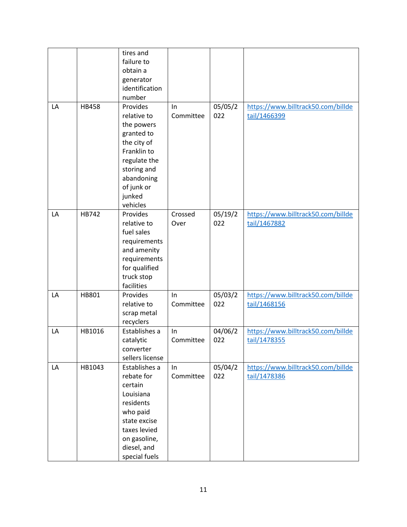|    |        | tires and<br>failure to<br>obtain a<br>generator<br>identification<br>number                                                                                       |                  |                |                                                    |
|----|--------|--------------------------------------------------------------------------------------------------------------------------------------------------------------------|------------------|----------------|----------------------------------------------------|
| LA | HB458  | Provides<br>relative to<br>the powers<br>granted to<br>the city of<br>Franklin to<br>regulate the<br>storing and<br>abandoning<br>of junk or<br>junked<br>vehicles | In<br>Committee  | 05/05/2<br>022 | https://www.billtrack50.com/billde<br>tail/1466399 |
| LA | HB742  | Provides<br>relative to<br>fuel sales<br>requirements<br>and amenity<br>requirements<br>for qualified<br>truck stop<br>facilities                                  | Crossed<br>Over  | 05/19/2<br>022 | https://www.billtrack50.com/billde<br>tail/1467882 |
| LA | HB801  | Provides<br>relative to<br>scrap metal<br>recyclers                                                                                                                | In<br>Committee  | 05/03/2<br>022 | https://www.billtrack50.com/billde<br>tail/1468156 |
| LA | HB1016 | Establishes a<br>catalytic<br>converter<br>sellers license                                                                                                         | In<br>Committee  | 04/06/2<br>022 | https://www.billtrack50.com/billde<br>tail/1478355 |
| LA | HB1043 | Establishes a<br>rebate for<br>certain<br>Louisiana<br>residents<br>who paid<br>state excise<br>taxes levied<br>on gasoline,<br>diesel, and<br>special fuels       | In.<br>Committee | 05/04/2<br>022 | https://www.billtrack50.com/billde<br>tail/1478386 |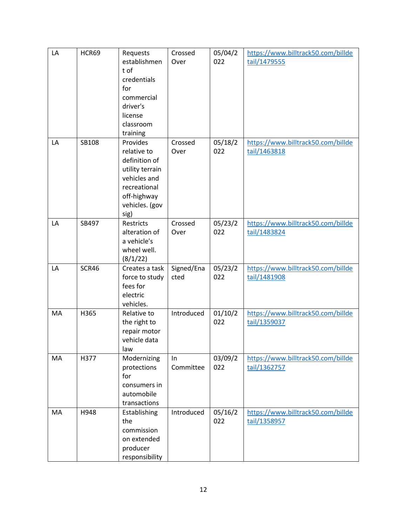| LA | HCR69 | Requests<br>establishmen<br>t of<br>credentials<br>for<br>commercial<br>driver's<br>license<br>classroom<br>training                 | Crossed<br>Over    | 05/04/2<br>022 | https://www.billtrack50.com/billde<br>tail/1479555 |
|----|-------|--------------------------------------------------------------------------------------------------------------------------------------|--------------------|----------------|----------------------------------------------------|
| LA | SB108 | Provides<br>relative to<br>definition of<br>utility terrain<br>vehicles and<br>recreational<br>off-highway<br>vehicles. (gov<br>sig) | Crossed<br>Over    | 05/18/2<br>022 | https://www.billtrack50.com/billde<br>tail/1463818 |
| LA | SB497 | Restricts<br>alteration of<br>a vehicle's<br>wheel well.<br>(8/1/22)                                                                 | Crossed<br>Over    | 05/23/2<br>022 | https://www.billtrack50.com/billde<br>tail/1483824 |
| LA | SCR46 | Creates a task<br>force to study<br>fees for<br>electric<br>vehicles.                                                                | Signed/Ena<br>cted | 05/23/2<br>022 | https://www.billtrack50.com/billde<br>tail/1481908 |
| MA | H365  | Relative to<br>the right to<br>repair motor<br>vehicle data<br>law                                                                   | Introduced         | 01/10/2<br>022 | https://www.billtrack50.com/billde<br>tail/1359037 |
| MA | H377  | Modernizing<br>protections<br>for<br>consumers in<br>automobile<br>transactions                                                      | In<br>Committee    | 03/09/2<br>022 | https://www.billtrack50.com/billde<br>tail/1362757 |
| MA | H948  | Establishing<br>the<br>commission<br>on extended<br>producer<br>responsibility                                                       | Introduced         | 05/16/2<br>022 | https://www.billtrack50.com/billde<br>tail/1358957 |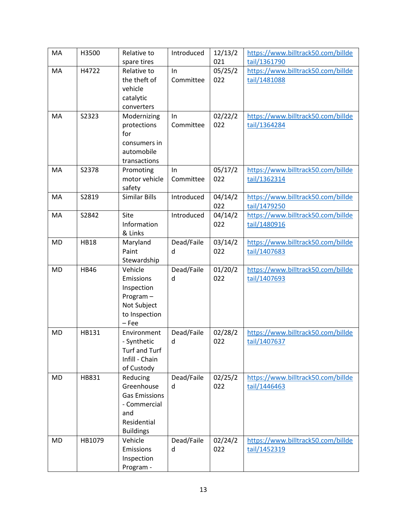| MA        | H3500       | Relative to            | Introduced      | 12/13/2        | https://www.billtrack50.com/billde                 |
|-----------|-------------|------------------------|-----------------|----------------|----------------------------------------------------|
|           |             | spare tires            |                 | 021            | tail/1361790                                       |
| MA        | H4722       | Relative to            | In              | 05/25/2        | https://www.billtrack50.com/billde                 |
|           |             | the theft of           | Committee       | 022            | tail/1481088                                       |
|           |             | vehicle                |                 |                |                                                    |
|           |             | catalytic              |                 |                |                                                    |
|           |             | converters             |                 |                |                                                    |
| MA        | S2323       | Modernizing            | In              | 02/22/2        | https://www.billtrack50.com/billde                 |
|           |             | protections            | Committee       | 022            | tail/1364284                                       |
|           |             | for                    |                 |                |                                                    |
|           |             | consumers in           |                 |                |                                                    |
|           |             | automobile             |                 |                |                                                    |
|           |             | transactions           |                 |                |                                                    |
| MA        | S2378       | Promoting              | In              | 05/17/2        | https://www.billtrack50.com/billde                 |
|           |             | motor vehicle          | Committee       | 022            | tail/1362314                                       |
|           |             | safety                 |                 |                |                                                    |
| MA        | S2819       | Similar Bills          | Introduced      | 04/14/2        | https://www.billtrack50.com/billde                 |
|           |             |                        |                 | 022            | tail/1479250                                       |
| MA        | S2842       | Site                   | Introduced      | 04/14/2        | https://www.billtrack50.com/billde                 |
|           |             | Information            |                 | 022            | tail/1480916                                       |
|           |             | & Links                |                 |                |                                                    |
| <b>MD</b> | <b>HB18</b> | Maryland               | Dead/Faile      | 03/14/2        | https://www.billtrack50.com/billde                 |
|           |             | Paint                  | d               | 022            | tail/1407683                                       |
| <b>MD</b> | <b>HB46</b> | Stewardship<br>Vehicle |                 |                |                                                    |
|           |             | Emissions              | Dead/Faile<br>d | 01/20/2<br>022 | https://www.billtrack50.com/billde<br>tail/1407693 |
|           |             | Inspection             |                 |                |                                                    |
|           |             | Program-               |                 |                |                                                    |
|           |             | Not Subject            |                 |                |                                                    |
|           |             | to Inspection          |                 |                |                                                    |
|           |             | $-$ Fee                |                 |                |                                                    |
| <b>MD</b> | HB131       | Environment            | Dead/Faile      | 02/28/2        | https://www.billtrack50.com/billde                 |
|           |             | - Synthetic            | d               | 022            | tail/1407637                                       |
|           |             | <b>Turf and Turf</b>   |                 |                |                                                    |
|           |             | Infill - Chain         |                 |                |                                                    |
|           |             | of Custody             |                 |                |                                                    |
| <b>MD</b> | HB831       | Reducing               | Dead/Faile      | 02/25/2        | https://www.billtrack50.com/billde                 |
|           |             | Greenhouse             | d               | 022            | tail/1446463                                       |
|           |             | <b>Gas Emissions</b>   |                 |                |                                                    |
|           |             | - Commercial           |                 |                |                                                    |
|           |             | and                    |                 |                |                                                    |
|           |             | Residential            |                 |                |                                                    |
|           |             | <b>Buildings</b>       |                 |                |                                                    |
| <b>MD</b> | HB1079      | Vehicle                | Dead/Faile      | 02/24/2        | https://www.billtrack50.com/billde                 |
|           |             | <b>Emissions</b>       | d               | 022            | tail/1452319                                       |
|           |             | Inspection             |                 |                |                                                    |
|           |             | Program -              |                 |                |                                                    |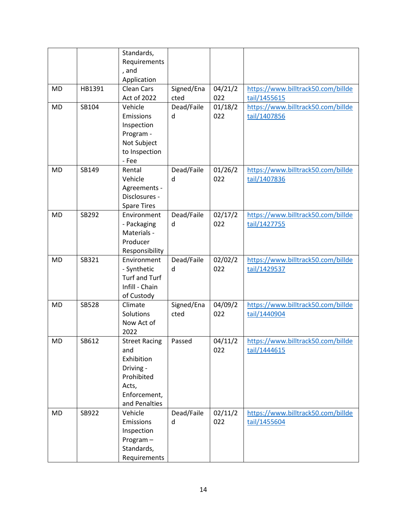|           |              | Standards,<br>Requirements<br>, and<br>Application                                                             |                    |                |                                                    |
|-----------|--------------|----------------------------------------------------------------------------------------------------------------|--------------------|----------------|----------------------------------------------------|
| <b>MD</b> | HB1391       | <b>Clean Cars</b><br>Act of 2022                                                                               | Signed/Ena<br>cted | 04/21/2<br>022 | https://www.billtrack50.com/billde<br>tail/1455615 |
| <b>MD</b> | SB104        | Vehicle<br>Emissions<br>Inspection<br>Program -<br>Not Subject<br>to Inspection<br>- Fee                       | Dead/Faile<br>d    | 01/18/2<br>022 | https://www.billtrack50.com/billde<br>tail/1407856 |
| <b>MD</b> | SB149        | Rental<br>Vehicle<br>Agreements -<br>Disclosures -<br><b>Spare Tires</b>                                       | Dead/Faile<br>d    | 01/26/2<br>022 | https://www.billtrack50.com/billde<br>tail/1407836 |
| <b>MD</b> | SB292        | Environment<br>- Packaging<br>Materials -<br>Producer<br>Responsibility                                        | Dead/Faile<br>d    | 02/17/2<br>022 | https://www.billtrack50.com/billde<br>tail/1427755 |
| <b>MD</b> | SB321        | Environment<br>- Synthetic<br>Turf and Turf<br>Infill - Chain<br>of Custody                                    | Dead/Faile<br>d    | 02/02/2<br>022 | https://www.billtrack50.com/billde<br>tail/1429537 |
| <b>MD</b> | <b>SB528</b> | Climate<br>Solutions<br>Now Act of<br>2022                                                                     | Signed/Ena<br>cted | 04/09/2<br>022 | https://www.billtrack50.com/billde<br>tail/1440904 |
| <b>MD</b> | SB612        | <b>Street Racing</b><br>and<br>Exhibition<br>Driving -<br>Prohibited<br>Acts,<br>Enforcement,<br>and Penalties | Passed             | 04/11/2<br>022 | https://www.billtrack50.com/billde<br>tail/1444615 |
| <b>MD</b> | SB922        | Vehicle<br>Emissions<br>Inspection<br>Program-<br>Standards,<br>Requirements                                   | Dead/Faile<br>d    | 02/11/2<br>022 | https://www.billtrack50.com/billde<br>tail/1455604 |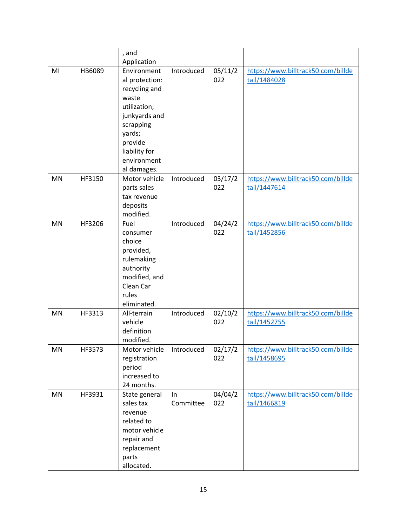|           |        | , and<br>Application                                                                                                                                                      |                 |                |                                                    |
|-----------|--------|---------------------------------------------------------------------------------------------------------------------------------------------------------------------------|-----------------|----------------|----------------------------------------------------|
| MI        | HB6089 | Environment<br>al protection:<br>recycling and<br>waste<br>utilization;<br>junkyards and<br>scrapping<br>yards;<br>provide<br>liability for<br>environment<br>al damages. | Introduced      | 05/11/2<br>022 | https://www.billtrack50.com/billde<br>tail/1484028 |
| <b>MN</b> | HF3150 | Motor vehicle<br>parts sales<br>tax revenue<br>deposits<br>modified.                                                                                                      | Introduced      | 03/17/2<br>022 | https://www.billtrack50.com/billde<br>tail/1447614 |
| <b>MN</b> | HF3206 | Fuel<br>consumer<br>choice<br>provided,<br>rulemaking<br>authority<br>modified, and<br>Clean Car<br>rules<br>eliminated.                                                  | Introduced      | 04/24/2<br>022 | https://www.billtrack50.com/billde<br>tail/1452856 |
| MN        | HF3313 | All-terrain<br>vehicle<br>definition<br>modified.                                                                                                                         | Introduced      | 02/10/2<br>022 | https://www.billtrack50.com/billde<br>tail/1452755 |
| MN        | HF3573 | Motor vehicle<br>registration<br>period<br>increased to<br>24 months.                                                                                                     | Introduced      | 02/17/2<br>022 | https://www.billtrack50.com/billde<br>tail/1458695 |
| MN        | HF3931 | State general<br>sales tax<br>revenue<br>related to<br>motor vehicle<br>repair and<br>replacement<br>parts<br>allocated.                                                  | In<br>Committee | 04/04/2<br>022 | https://www.billtrack50.com/billde<br>tail/1466819 |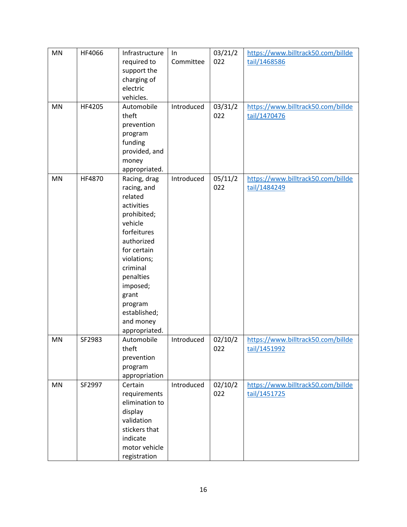| MN        | HF4066 | Infrastructure | In         | 03/21/2 | https://www.billtrack50.com/billde |
|-----------|--------|----------------|------------|---------|------------------------------------|
|           |        | required to    | Committee  | 022     | tail/1468586                       |
|           |        | support the    |            |         |                                    |
|           |        | charging of    |            |         |                                    |
|           |        | electric       |            |         |                                    |
|           |        | vehicles.      |            |         |                                    |
| <b>MN</b> | HF4205 | Automobile     | Introduced | 03/31/2 | https://www.billtrack50.com/billde |
|           |        | theft          |            | 022     | tail/1470476                       |
|           |        | prevention     |            |         |                                    |
|           |        | program        |            |         |                                    |
|           |        | funding        |            |         |                                    |
|           |        | provided, and  |            |         |                                    |
|           |        | money          |            |         |                                    |
|           |        | appropriated.  |            |         |                                    |
| <b>MN</b> | HF4870 | Racing, drag   | Introduced | 05/11/2 | https://www.billtrack50.com/billde |
|           |        | racing, and    |            | 022     | tail/1484249                       |
|           |        | related        |            |         |                                    |
|           |        | activities     |            |         |                                    |
|           |        | prohibited;    |            |         |                                    |
|           |        | vehicle        |            |         |                                    |
|           |        | forfeitures    |            |         |                                    |
|           |        | authorized     |            |         |                                    |
|           |        | for certain    |            |         |                                    |
|           |        | violations;    |            |         |                                    |
|           |        | criminal       |            |         |                                    |
|           |        | penalties      |            |         |                                    |
|           |        | imposed;       |            |         |                                    |
|           |        | grant          |            |         |                                    |
|           |        | program        |            |         |                                    |
|           |        | established;   |            |         |                                    |
|           |        | and money      |            |         |                                    |
|           |        | appropriated.  |            |         |                                    |
| MN        | SF2983 | Automobile     | Introduced | 02/10/2 | https://www.billtrack50.com/billde |
|           |        | theft          |            | 022     | tail/1451992                       |
|           |        | prevention     |            |         |                                    |
|           |        | program        |            |         |                                    |
|           |        | appropriation  |            |         |                                    |
| MN        | SF2997 | Certain        | Introduced | 02/10/2 | https://www.billtrack50.com/billde |
|           |        | requirements   |            | 022     | tail/1451725                       |
|           |        | elimination to |            |         |                                    |
|           |        | display        |            |         |                                    |
|           |        | validation     |            |         |                                    |
|           |        | stickers that  |            |         |                                    |
|           |        | indicate       |            |         |                                    |
|           |        | motor vehicle  |            |         |                                    |
|           |        | registration   |            |         |                                    |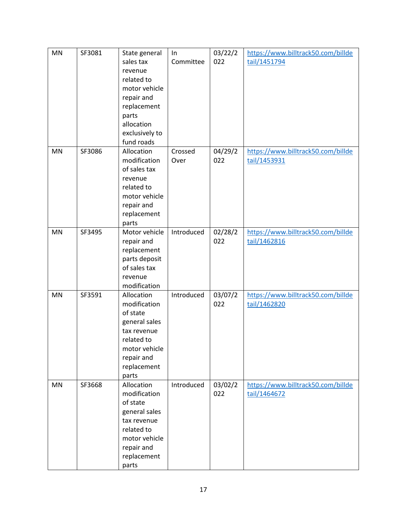| MN | SF3081 | State general<br>sales tax<br>revenue<br>related to<br>motor vehicle<br>repair and<br>replacement<br>parts<br>allocation<br>exclusively to<br>fund roads | In<br>Committee | 03/22/2<br>022 | https://www.billtrack50.com/billde<br>tail/1451794 |
|----|--------|----------------------------------------------------------------------------------------------------------------------------------------------------------|-----------------|----------------|----------------------------------------------------|
| MN | SF3086 | Allocation<br>modification<br>of sales tax<br>revenue<br>related to<br>motor vehicle<br>repair and<br>replacement<br>parts                               | Crossed<br>Over | 04/29/2<br>022 | https://www.billtrack50.com/billde<br>tail/1453931 |
| MN | SF3495 | Motor vehicle<br>repair and<br>replacement<br>parts deposit<br>of sales tax<br>revenue<br>modification                                                   | Introduced      | 02/28/2<br>022 | https://www.billtrack50.com/billde<br>tail/1462816 |
| MN | SF3591 | Allocation<br>modification<br>of state<br>general sales<br>tax revenue<br>related to<br>motor vehicle<br>repair and<br>replacement<br>parts              | Introduced      | 03/07/2<br>022 | https://www.billtrack50.com/billde<br>tail/1462820 |
| MN | SF3668 | Allocation<br>modification<br>of state<br>general sales<br>tax revenue<br>related to<br>motor vehicle<br>repair and<br>replacement<br>parts              | Introduced      | 03/02/2<br>022 | https://www.billtrack50.com/billde<br>tail/1464672 |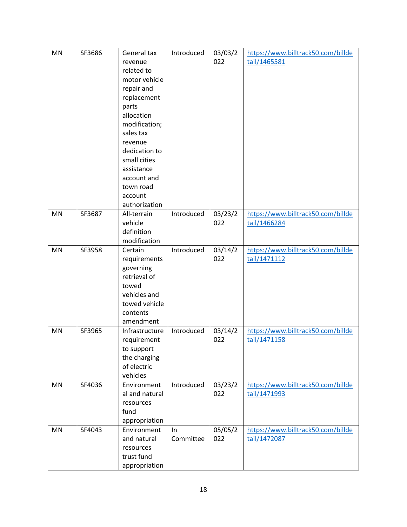| <b>MN</b> | SF3686 | General tax<br>revenue<br>related to<br>motor vehicle<br>repair and                                                                                    | Introduced      | 03/03/2<br>022 | https://www.billtrack50.com/billde<br>tail/1465581 |
|-----------|--------|--------------------------------------------------------------------------------------------------------------------------------------------------------|-----------------|----------------|----------------------------------------------------|
|           |        | replacement<br>parts<br>allocation<br>modification;<br>sales tax<br>revenue<br>dedication to<br>small cities<br>assistance<br>account and<br>town road |                 |                |                                                    |
|           |        | account<br>authorization                                                                                                                               |                 |                |                                                    |
| MN        | SF3687 | All-terrain<br>vehicle<br>definition<br>modification                                                                                                   | Introduced      | 03/23/2<br>022 | https://www.billtrack50.com/billde<br>tail/1466284 |
| MN        | SF3958 | Certain<br>requirements<br>governing<br>retrieval of<br>towed<br>vehicles and<br>towed vehicle<br>contents<br>amendment                                | Introduced      | 03/14/2<br>022 | https://www.billtrack50.com/billde<br>tail/1471112 |
| MN        | SF3965 | Infrastructure<br>requirement<br>to support<br>the charging<br>of electric<br>vehicles                                                                 | Introduced      | 03/14/2<br>022 | https://www.billtrack50.com/billde<br>tail/1471158 |
| MN        | SF4036 | Environment<br>al and natural<br>resources<br>fund<br>appropriation                                                                                    | Introduced      | 03/23/2<br>022 | https://www.billtrack50.com/billde<br>tail/1471993 |
| MN        | SF4043 | Environment<br>and natural<br>resources<br>trust fund<br>appropriation                                                                                 | In<br>Committee | 05/05/2<br>022 | https://www.billtrack50.com/billde<br>tail/1472087 |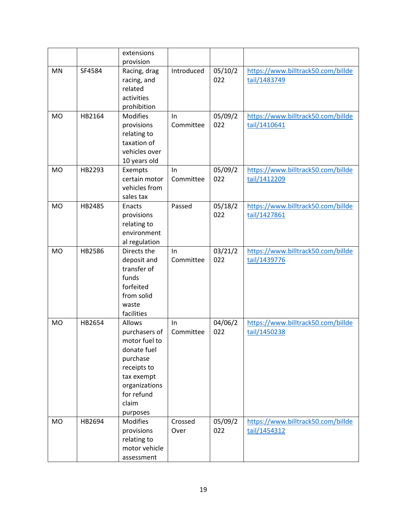|           |        | extensions                                                                                                                                           |                 |                |                                                    |
|-----------|--------|------------------------------------------------------------------------------------------------------------------------------------------------------|-----------------|----------------|----------------------------------------------------|
|           |        | provision                                                                                                                                            |                 |                |                                                    |
| MN        | SF4584 | Racing, drag<br>racing, and<br>related<br>activities<br>prohibition                                                                                  | Introduced      | 05/10/2<br>022 | https://www.billtrack50.com/billde<br>tail/1483749 |
| <b>MO</b> | HB2164 | <b>Modifies</b><br>provisions<br>relating to<br>taxation of<br>vehicles over<br>10 years old                                                         | In<br>Committee | 05/09/2<br>022 | https://www.billtrack50.com/billde<br>tail/1410641 |
| <b>MO</b> | HB2293 | Exempts<br>certain motor<br>vehicles from<br>sales tax                                                                                               | In<br>Committee | 05/09/2<br>022 | https://www.billtrack50.com/billde<br>tail/1412209 |
| <b>MO</b> | HB2485 | Enacts<br>provisions<br>relating to<br>environment<br>al regulation                                                                                  | Passed          | 05/18/2<br>022 | https://www.billtrack50.com/billde<br>tail/1427861 |
| <b>MO</b> | HB2586 | Directs the<br>deposit and<br>transfer of<br>funds<br>forfeited<br>from solid<br>waste<br>facilities                                                 | In<br>Committee | 03/21/2<br>022 | https://www.billtrack50.com/billde<br>tail/1439776 |
| <b>MO</b> | HB2654 | Allows<br>purchasers of<br>motor fuel to<br>donate fuel<br>purchase<br>receipts to<br>tax exempt<br>organizations<br>for refund<br>claim<br>purposes | In<br>Committee | 04/06/2<br>022 | https://www.billtrack50.com/billde<br>tail/1450238 |
| <b>MO</b> | HB2694 | <b>Modifies</b><br>provisions<br>relating to<br>motor vehicle<br>assessment                                                                          | Crossed<br>Over | 05/09/2<br>022 | https://www.billtrack50.com/billde<br>tail/1454312 |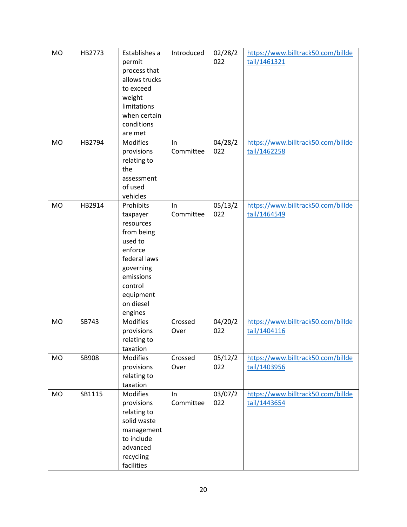| MO        | HB2773 | Establishes a<br>permit<br>process that<br>allows trucks<br>to exceed<br>weight<br>limitations<br>when certain<br>conditions<br>are met                          | Introduced      | 02/28/2<br>022 | https://www.billtrack50.com/billde<br>tail/1461321 |
|-----------|--------|------------------------------------------------------------------------------------------------------------------------------------------------------------------|-----------------|----------------|----------------------------------------------------|
| <b>MO</b> | HB2794 | <b>Modifies</b><br>provisions<br>relating to<br>the<br>assessment<br>of used<br>vehicles                                                                         | In<br>Committee | 04/28/2<br>022 | https://www.billtrack50.com/billde<br>tail/1462258 |
| <b>MO</b> | HB2914 | Prohibits<br>taxpayer<br>resources<br>from being<br>used to<br>enforce<br>federal laws<br>governing<br>emissions<br>control<br>equipment<br>on diesel<br>engines | In<br>Committee | 05/13/2<br>022 | https://www.billtrack50.com/billde<br>tail/1464549 |
| <b>MO</b> | SB743  | <b>Modifies</b><br>provisions<br>relating to<br>taxation                                                                                                         | Crossed<br>Over | 04/20/2<br>022 | https://www.billtrack50.com/billde<br>tail/1404116 |
| <b>MO</b> | SB908  | <b>Modifies</b><br>provisions<br>relating to<br>taxation                                                                                                         | Crossed<br>Over | 05/12/2<br>022 | https://www.billtrack50.com/billde<br>tail/1403956 |
| MO        | SB1115 | <b>Modifies</b><br>provisions<br>relating to<br>solid waste<br>management<br>to include<br>advanced<br>recycling<br>facilities                                   | ln<br>Committee | 03/07/2<br>022 | https://www.billtrack50.com/billde<br>tail/1443654 |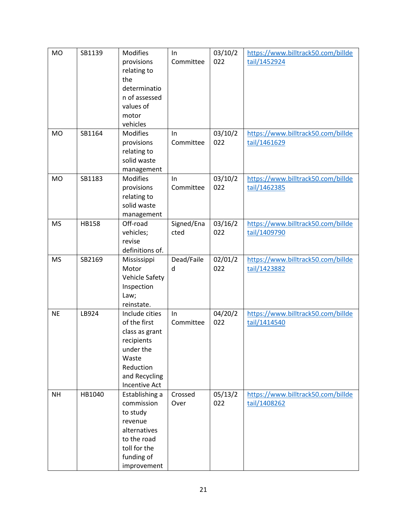| <b>MO</b> | SB1139       | Modifies             | In         | 03/10/2 | https://www.billtrack50.com/billde |
|-----------|--------------|----------------------|------------|---------|------------------------------------|
|           |              | provisions           | Committee  | 022     | tail/1452924                       |
|           |              | relating to          |            |         |                                    |
|           |              | the                  |            |         |                                    |
|           |              | determinatio         |            |         |                                    |
|           |              | n of assessed        |            |         |                                    |
|           |              | values of            |            |         |                                    |
|           |              | motor                |            |         |                                    |
|           |              | vehicles             |            |         |                                    |
| <b>MO</b> | SB1164       | <b>Modifies</b>      | In         | 03/10/2 | https://www.billtrack50.com/billde |
|           |              | provisions           | Committee  | 022     | tail/1461629                       |
|           |              | relating to          |            |         |                                    |
|           |              | solid waste          |            |         |                                    |
|           |              | management           |            |         |                                    |
| <b>MO</b> | SB1183       | <b>Modifies</b>      | In         | 03/10/2 | https://www.billtrack50.com/billde |
|           |              | provisions           | Committee  | 022     | tail/1462385                       |
|           |              | relating to          |            |         |                                    |
|           |              | solid waste          |            |         |                                    |
|           |              | management           |            |         |                                    |
| <b>MS</b> | <b>HB158</b> | Off-road             | Signed/Ena | 03/16/2 | https://www.billtrack50.com/billde |
|           |              | vehicles;            | cted       | 022     | tail/1409790                       |
|           |              | revise               |            |         |                                    |
|           |              | definitions of.      |            |         |                                    |
| <b>MS</b> | SB2169       | Mississippi          | Dead/Faile | 02/01/2 | https://www.billtrack50.com/billde |
|           |              | Motor                | d          | 022     | tail/1423882                       |
|           |              | Vehicle Safety       |            |         |                                    |
|           |              | Inspection           |            |         |                                    |
|           |              | Law;                 |            |         |                                    |
|           |              | reinstate.           |            |         |                                    |
| <b>NE</b> | LB924        | Include cities       | In         | 04/20/2 | https://www.billtrack50.com/billde |
|           |              | of the first         | Committee  | 022     | tail/1414540                       |
|           |              | class as grant       |            |         |                                    |
|           |              | recipients           |            |         |                                    |
|           |              | under the            |            |         |                                    |
|           |              | Waste                |            |         |                                    |
|           |              | Reduction            |            |         |                                    |
|           |              | and Recycling        |            |         |                                    |
|           |              | <b>Incentive Act</b> |            |         |                                    |
| <b>NH</b> | HB1040       | Establishing a       | Crossed    | 05/13/2 | https://www.billtrack50.com/billde |
|           |              | commission           | Over       | 022     | tail/1408262                       |
|           |              | to study             |            |         |                                    |
|           |              | revenue              |            |         |                                    |
|           |              | alternatives         |            |         |                                    |
|           |              | to the road          |            |         |                                    |
|           |              | toll for the         |            |         |                                    |
|           |              | funding of           |            |         |                                    |
|           |              | improvement          |            |         |                                    |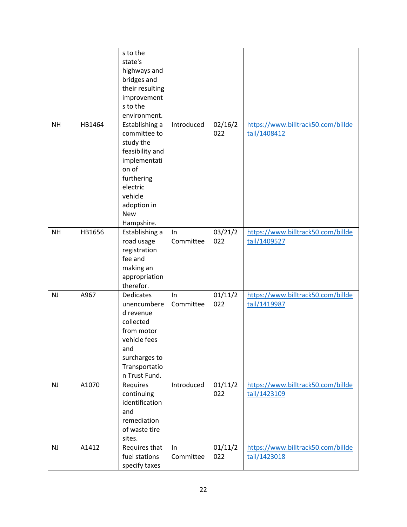|           |        | s to the<br>state's<br>highways and<br>bridges and<br>their resulting<br>improvement<br>s to the<br>environment.                                                        |                  |                |                                                    |
|-----------|--------|-------------------------------------------------------------------------------------------------------------------------------------------------------------------------|------------------|----------------|----------------------------------------------------|
| <b>NH</b> | HB1464 | Establishing a<br>committee to<br>study the<br>feasibility and<br>implementati<br>on of<br>furthering<br>electric<br>vehicle<br>adoption in<br><b>New</b><br>Hampshire. | Introduced       | 02/16/2<br>022 | https://www.billtrack50.com/billde<br>tail/1408412 |
| <b>NH</b> | HB1656 | Establishing a<br>road usage<br>registration<br>fee and<br>making an<br>appropriation<br>therefor.                                                                      | In<br>Committee  | 03/21/2<br>022 | https://www.billtrack50.com/billde<br>tail/1409527 |
| NJ        | A967   | <b>Dedicates</b><br>unencumbere<br>d revenue<br>collected<br>from motor<br>vehicle fees<br>and<br>surcharges to<br>Transportatio<br>n Trust Fund.                       | In<br>Committee  | 01/11/2<br>022 | https://www.billtrack50.com/billde<br>tail/1419987 |
| <b>NJ</b> | A1070  | Requires<br>continuing<br>identification<br>and<br>remediation<br>of waste tire<br>sites.                                                                               | Introduced       | 01/11/2<br>022 | https://www.billtrack50.com/billde<br>tail/1423109 |
| <b>NJ</b> | A1412  | Requires that<br>fuel stations<br>specify taxes                                                                                                                         | In.<br>Committee | 01/11/2<br>022 | https://www.billtrack50.com/billde<br>tail/1423018 |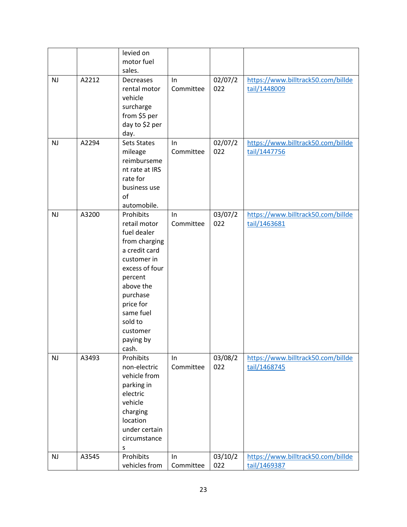|           |       | levied on          |           |         |                                    |
|-----------|-------|--------------------|-----------|---------|------------------------------------|
|           |       | motor fuel         |           |         |                                    |
|           |       | sales.             |           |         |                                    |
| <b>NJ</b> | A2212 | Decreases          | In        | 02/07/2 | https://www.billtrack50.com/billde |
|           |       | rental motor       | Committee | 022     | tail/1448009                       |
|           |       | vehicle            |           |         |                                    |
|           |       | surcharge          |           |         |                                    |
|           |       | from \$5 per       |           |         |                                    |
|           |       | day to \$2 per     |           |         |                                    |
|           |       | day.               |           |         |                                    |
| NJ        | A2294 | <b>Sets States</b> | In        | 02/07/2 | https://www.billtrack50.com/billde |
|           |       | mileage            | Committee | 022     | tail/1447756                       |
|           |       | reimburseme        |           |         |                                    |
|           |       | nt rate at IRS     |           |         |                                    |
|           |       | rate for           |           |         |                                    |
|           |       | business use       |           |         |                                    |
|           |       | of                 |           |         |                                    |
|           |       | automobile.        |           |         |                                    |
| NJ        | A3200 | Prohibits          | $\ln$     | 03/07/2 | https://www.billtrack50.com/billde |
|           |       | retail motor       | Committee | 022     | tail/1463681                       |
|           |       | fuel dealer        |           |         |                                    |
|           |       | from charging      |           |         |                                    |
|           |       | a credit card      |           |         |                                    |
|           |       | customer in        |           |         |                                    |
|           |       | excess of four     |           |         |                                    |
|           |       | percent            |           |         |                                    |
|           |       | above the          |           |         |                                    |
|           |       | purchase           |           |         |                                    |
|           |       | price for          |           |         |                                    |
|           |       | same fuel          |           |         |                                    |
|           |       | sold to            |           |         |                                    |
|           |       | customer           |           |         |                                    |
|           |       | paying by          |           |         |                                    |
|           |       | cash.              |           |         |                                    |
| NJ        | A3493 | Prohibits          | In        | 03/08/2 | https://www.billtrack50.com/billde |
|           |       | non-electric       | Committee | 022     | tail/1468745                       |
|           |       | vehicle from       |           |         |                                    |
|           |       | parking in         |           |         |                                    |
|           |       | electric           |           |         |                                    |
|           |       | vehicle            |           |         |                                    |
|           |       | charging           |           |         |                                    |
|           |       | location           |           |         |                                    |
|           |       | under certain      |           |         |                                    |
|           |       | circumstance       |           |         |                                    |
|           |       | S                  |           |         |                                    |
| <b>NJ</b> | A3545 | Prohibits          | In        | 03/10/2 | https://www.billtrack50.com/billde |
|           |       | vehicles from      | Committee | 022     | tail/1469387                       |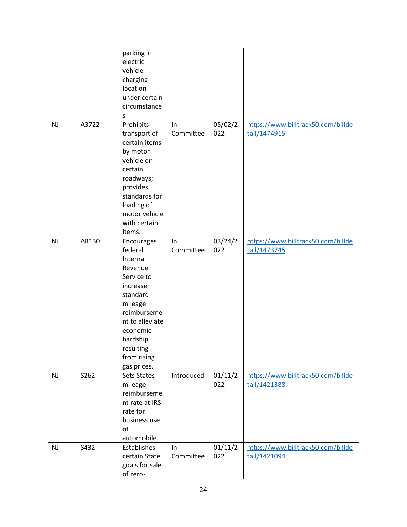|           |       | parking in<br>electric<br>vehicle<br>charging<br>location<br>under certain<br>circumstance<br>s                                                                                                    |                 |                |                                                    |
|-----------|-------|----------------------------------------------------------------------------------------------------------------------------------------------------------------------------------------------------|-----------------|----------------|----------------------------------------------------|
| <b>NJ</b> | A3722 | Prohibits<br>transport of<br>certain items<br>by motor<br>vehicle on<br>certain<br>roadways;<br>provides<br>standards for<br>loading of<br>motor vehicle<br>with certain<br>items.                 | ln<br>Committee | 05/02/2<br>022 | https://www.billtrack50.com/billde<br>tail/1474915 |
| NJ        | AR130 | Encourages<br>federal<br>Internal<br>Revenue<br>Service to<br>increase<br>standard<br>mileage<br>reimburseme<br>nt to alleviate<br>economic<br>hardship<br>resulting<br>from rising<br>gas prices. | In<br>Committee | 03/24/2<br>022 | https://www.billtrack50.com/billde<br>tail/1473745 |
| <b>NJ</b> | S262  | <b>Sets States</b><br>mileage<br>reimburseme<br>nt rate at IRS<br>rate for<br>business use<br>of<br>automobile.                                                                                    | Introduced      | 01/11/2<br>022 | https://www.billtrack50.com/billde<br>tail/1421388 |
| <b>NJ</b> | S432  | Establishes<br>certain State<br>goals for sale<br>of zero-                                                                                                                                         | In<br>Committee | 01/11/2<br>022 | https://www.billtrack50.com/billde<br>tail/1421094 |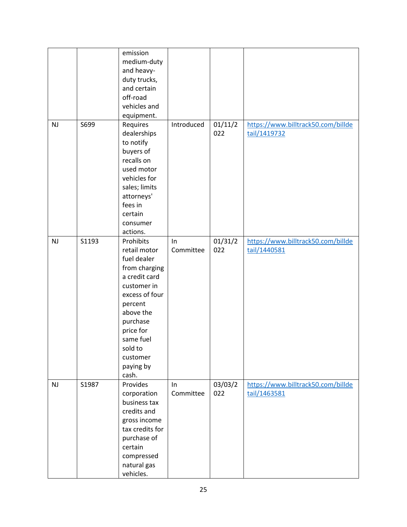|           |       | emission<br>medium-duty<br>and heavy-<br>duty trucks,<br>and certain<br>off-road<br>vehicles and<br>equipment.                                                                                                         |                 |                             |                                                    |
|-----------|-------|------------------------------------------------------------------------------------------------------------------------------------------------------------------------------------------------------------------------|-----------------|-----------------------------|----------------------------------------------------|
| <b>NJ</b> | S699  | Requires<br>dealerships<br>to notify<br>buyers of<br>recalls on<br>used motor<br>vehicles for<br>sales; limits<br>attorneys'<br>fees in<br>certain<br>consumer<br>actions.                                             | Introduced      | 01/11/2<br>022              | https://www.billtrack50.com/billde<br>tail/1419732 |
| NJ        | S1193 | Prohibits<br>retail motor<br>fuel dealer<br>from charging<br>a credit card<br>customer in<br>excess of four<br>percent<br>above the<br>purchase<br>price for<br>same fuel<br>sold to<br>customer<br>paying by<br>cash. | In<br>Committee | 01/31/2<br>022              | https://www.billtrack50.com/billde<br>tail/1440581 |
| NJ        | S1987 | Provides<br>corporation<br>business tax<br>credits and<br>gross income<br>tax credits for<br>purchase of<br>certain<br>compressed<br>natural gas<br>vehicles.                                                          | ln<br>Committee | $03/03/\overline{2}$<br>022 | https://www.billtrack50.com/billde<br>tail/1463581 |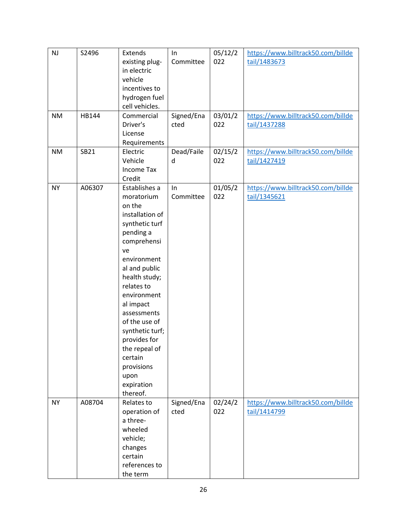| NJ<br><b>NM</b><br><b>NM</b> | S2496<br>HB144<br>SB21 | Extends<br>existing plug-<br>in electric<br>vehicle<br>incentives to<br>hydrogen fuel<br>cell vehicles.<br>Commercial<br>Driver's<br>License<br>Requirements<br>Electric<br>Vehicle<br><b>Income Tax</b>                                                                                                                                               | In<br>Committee<br>Signed/Ena<br>cted<br>Dead/Faile<br>d | 05/12/2<br>022<br>03/01/2<br>022<br>02/15/2<br>022 | https://www.billtrack50.com/billde<br>tail/1483673<br>https://www.billtrack50.com/billde<br>tail/1437288<br>https://www.billtrack50.com/billde<br>tail/1427419 |
|------------------------------|------------------------|--------------------------------------------------------------------------------------------------------------------------------------------------------------------------------------------------------------------------------------------------------------------------------------------------------------------------------------------------------|----------------------------------------------------------|----------------------------------------------------|----------------------------------------------------------------------------------------------------------------------------------------------------------------|
|                              |                        | Credit                                                                                                                                                                                                                                                                                                                                                 |                                                          |                                                    |                                                                                                                                                                |
| <b>NY</b>                    | A06307                 | Establishes a<br>moratorium<br>on the<br>installation of<br>synthetic turf<br>pending a<br>comprehensi<br>ve<br>environment<br>al and public<br>health study;<br>relates to<br>environment<br>al impact<br>assessments<br>of the use of<br>synthetic turf;<br>provides for<br>the repeal of<br>certain<br>provisions<br>upon<br>expiration<br>thereof. | In<br>Committee                                          | 01/05/2<br>022                                     | https://www.billtrack50.com/billde<br>tail/1345621                                                                                                             |
| <b>NY</b>                    | A08704                 | Relates to<br>operation of<br>a three-<br>wheeled<br>vehicle;<br>changes<br>certain<br>references to<br>the term                                                                                                                                                                                                                                       | Signed/Ena<br>cted                                       | 02/24/2<br>022                                     | https://www.billtrack50.com/billde<br>tail/1414799                                                                                                             |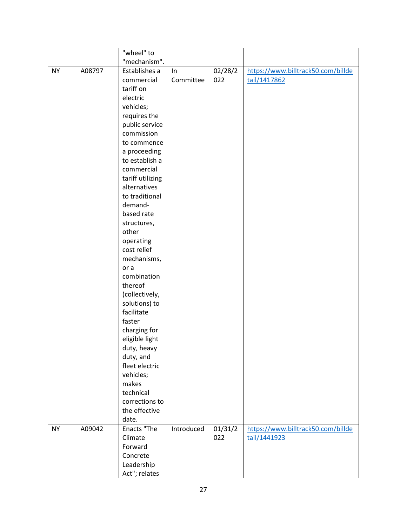|           |        | "wheel" to                  |            |         |                                    |
|-----------|--------|-----------------------------|------------|---------|------------------------------------|
|           |        | "mechanism".                |            |         |                                    |
| <b>NY</b> | A08797 | Establishes a               | In         | 02/28/2 | https://www.billtrack50.com/billde |
|           |        | commercial                  | Committee  | 022     | tail/1417862                       |
|           |        | tariff on                   |            |         |                                    |
|           |        | electric                    |            |         |                                    |
|           |        | vehicles;                   |            |         |                                    |
|           |        | requires the                |            |         |                                    |
|           |        | public service              |            |         |                                    |
|           |        | commission                  |            |         |                                    |
|           |        | to commence                 |            |         |                                    |
|           |        | a proceeding                |            |         |                                    |
|           |        | to establish a              |            |         |                                    |
|           |        | commercial                  |            |         |                                    |
|           |        | tariff utilizing            |            |         |                                    |
|           |        | alternatives                |            |         |                                    |
|           |        | to traditional              |            |         |                                    |
|           |        | demand-<br>based rate       |            |         |                                    |
|           |        | structures,                 |            |         |                                    |
|           |        | other                       |            |         |                                    |
|           |        | operating                   |            |         |                                    |
|           |        | cost relief                 |            |         |                                    |
|           |        | mechanisms,                 |            |         |                                    |
|           |        | or a                        |            |         |                                    |
|           |        | combination                 |            |         |                                    |
|           |        | thereof                     |            |         |                                    |
|           |        | (collectively,              |            |         |                                    |
|           |        | solutions) to               |            |         |                                    |
|           |        | facilitate                  |            |         |                                    |
|           |        | faster                      |            |         |                                    |
|           |        | charging for                |            |         |                                    |
|           |        | eligible light              |            |         |                                    |
|           |        | duty, heavy                 |            |         |                                    |
|           |        | duty, and                   |            |         |                                    |
|           |        | fleet electric<br>vehicles; |            |         |                                    |
|           |        | makes                       |            |         |                                    |
|           |        | technical                   |            |         |                                    |
|           |        | corrections to              |            |         |                                    |
|           |        | the effective               |            |         |                                    |
|           |        | date.                       |            |         |                                    |
| <b>NY</b> | A09042 | Enacts "The                 | Introduced | 01/31/2 | https://www.billtrack50.com/billde |
|           |        | Climate                     |            | 022     | tail/1441923                       |
|           |        | Forward                     |            |         |                                    |
|           |        | Concrete                    |            |         |                                    |
|           |        | Leadership                  |            |         |                                    |
|           |        | Act"; relates               |            |         |                                    |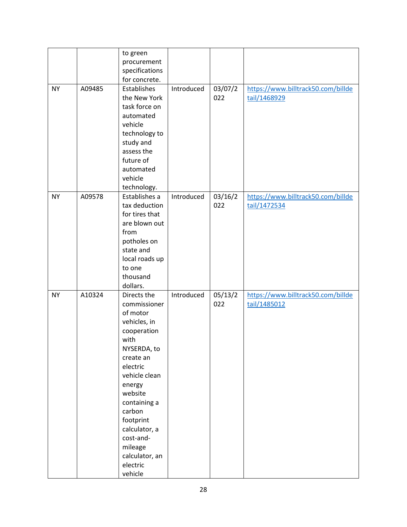| <b>NY</b> | A09485 | to green<br>procurement<br>specifications<br>for concrete.<br>Establishes<br>the New York<br>task force on                                                                                                                                                                            | Introduced | 03/07/2<br>022 | https://www.billtrack50.com/billde<br>tail/1468929 |
|-----------|--------|---------------------------------------------------------------------------------------------------------------------------------------------------------------------------------------------------------------------------------------------------------------------------------------|------------|----------------|----------------------------------------------------|
|           |        | automated<br>vehicle<br>technology to<br>study and<br>assess the<br>future of<br>automated<br>vehicle<br>technology.                                                                                                                                                                  |            |                |                                                    |
| <b>NY</b> | A09578 | Establishes a<br>tax deduction<br>for tires that<br>are blown out<br>from<br>potholes on<br>state and<br>local roads up<br>to one<br>thousand<br>dollars.                                                                                                                             | Introduced | 03/16/2<br>022 | https://www.billtrack50.com/billde<br>tail/1472534 |
| <b>NY</b> | A10324 | Directs the<br>commissioner<br>of motor<br>vehicles, in<br>cooperation<br>with<br>NYSERDA, to<br>create an<br>electric<br>vehicle clean<br>energy<br>website<br>containing a<br>carbon<br>footprint<br>calculator, a<br>cost-and-<br>mileage<br>calculator, an<br>electric<br>vehicle | Introduced | 05/13/2<br>022 | https://www.billtrack50.com/billde<br>tail/1485012 |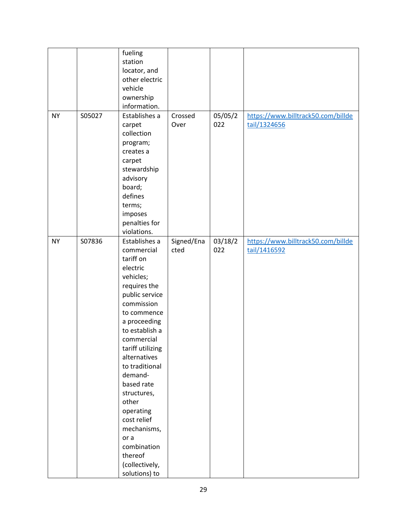|           |        | fueling          |            |         |                                    |
|-----------|--------|------------------|------------|---------|------------------------------------|
|           |        | station          |            |         |                                    |
|           |        | locator, and     |            |         |                                    |
|           |        | other electric   |            |         |                                    |
|           |        | vehicle          |            |         |                                    |
|           |        | ownership        |            |         |                                    |
|           |        | information.     |            |         |                                    |
| <b>NY</b> |        | Establishes a    | Crossed    | 05/05/2 |                                    |
|           | S05027 |                  |            |         | https://www.billtrack50.com/billde |
|           |        | carpet           | Over       | 022     | tail/1324656                       |
|           |        | collection       |            |         |                                    |
|           |        | program;         |            |         |                                    |
|           |        | creates a        |            |         |                                    |
|           |        | carpet           |            |         |                                    |
|           |        | stewardship      |            |         |                                    |
|           |        | advisory         |            |         |                                    |
|           |        | board;           |            |         |                                    |
|           |        | defines          |            |         |                                    |
|           |        | terms;           |            |         |                                    |
|           |        | imposes          |            |         |                                    |
|           |        | penalties for    |            |         |                                    |
|           |        | violations.      |            |         |                                    |
| <b>NY</b> | S07836 | Establishes a    | Signed/Ena | 03/18/2 | https://www.billtrack50.com/billde |
|           |        | commercial       | cted       | 022     | tail/1416592                       |
|           |        | tariff on        |            |         |                                    |
|           |        | electric         |            |         |                                    |
|           |        | vehicles;        |            |         |                                    |
|           |        | requires the     |            |         |                                    |
|           |        | public service   |            |         |                                    |
|           |        | commission       |            |         |                                    |
|           |        | to commence      |            |         |                                    |
|           |        | a proceeding     |            |         |                                    |
|           |        | to establish a   |            |         |                                    |
|           |        | commercial       |            |         |                                    |
|           |        | tariff utilizing |            |         |                                    |
|           |        | alternatives     |            |         |                                    |
|           |        | to traditional   |            |         |                                    |
|           |        | demand-          |            |         |                                    |
|           |        | based rate       |            |         |                                    |
|           |        | structures,      |            |         |                                    |
|           |        | other            |            |         |                                    |
|           |        | operating        |            |         |                                    |
|           |        | cost relief      |            |         |                                    |
|           |        | mechanisms,      |            |         |                                    |
|           |        | or a             |            |         |                                    |
|           |        | combination      |            |         |                                    |
|           |        | thereof          |            |         |                                    |
|           |        | (collectively,   |            |         |                                    |
|           |        | solutions) to    |            |         |                                    |
|           |        |                  |            |         |                                    |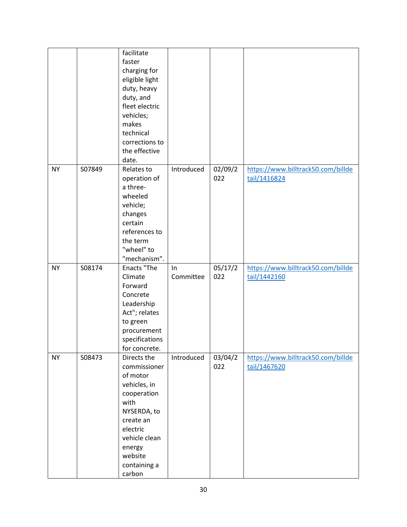|           |        | facilitate     |            |         |                                    |
|-----------|--------|----------------|------------|---------|------------------------------------|
|           |        | faster         |            |         |                                    |
|           |        |                |            |         |                                    |
|           |        | charging for   |            |         |                                    |
|           |        | eligible light |            |         |                                    |
|           |        | duty, heavy    |            |         |                                    |
|           |        | duty, and      |            |         |                                    |
|           |        | fleet electric |            |         |                                    |
|           |        | vehicles;      |            |         |                                    |
|           |        | makes          |            |         |                                    |
|           |        | technical      |            |         |                                    |
|           |        | corrections to |            |         |                                    |
|           |        | the effective  |            |         |                                    |
|           |        | date.          |            |         |                                    |
| <b>NY</b> | S07849 | Relates to     | Introduced | 02/09/2 | https://www.billtrack50.com/billde |
|           |        | operation of   |            | 022     | tail/1416824                       |
|           |        | a three-       |            |         |                                    |
|           |        | wheeled        |            |         |                                    |
|           |        | vehicle;       |            |         |                                    |
|           |        | changes        |            |         |                                    |
|           |        | certain        |            |         |                                    |
|           |        | references to  |            |         |                                    |
|           |        | the term       |            |         |                                    |
|           |        | "wheel" to     |            |         |                                    |
|           |        | "mechanism".   |            |         |                                    |
|           |        |                |            |         |                                    |
| <b>NY</b> | S08174 | Enacts "The    | In         | 05/17/2 | https://www.billtrack50.com/billde |
|           |        | Climate        | Committee  | 022     | tail/1442160                       |
|           |        | Forward        |            |         |                                    |
|           |        | Concrete       |            |         |                                    |
|           |        | Leadership     |            |         |                                    |
|           |        | Act"; relates  |            |         |                                    |
|           |        | to green       |            |         |                                    |
|           |        | procurement    |            |         |                                    |
|           |        | specifications |            |         |                                    |
|           |        | for concrete.  |            |         |                                    |
| <b>NY</b> | S08473 | Directs the    | Introduced | 03/04/2 | https://www.billtrack50.com/billde |
|           |        | commissioner   |            | 022     | tail/1467620                       |
|           |        | of motor       |            |         |                                    |
|           |        | vehicles, in   |            |         |                                    |
|           |        | cooperation    |            |         |                                    |
|           |        | with           |            |         |                                    |
|           |        | NYSERDA, to    |            |         |                                    |
|           |        | create an      |            |         |                                    |
|           |        | electric       |            |         |                                    |
|           |        | vehicle clean  |            |         |                                    |
|           |        | energy         |            |         |                                    |
|           |        | website        |            |         |                                    |
|           |        | containing a   |            |         |                                    |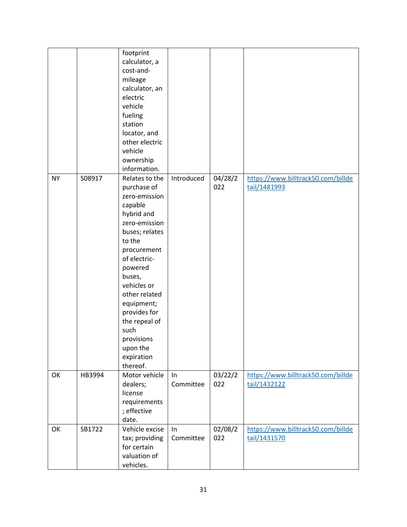|           |        | footprint<br>calculator, a<br>cost-and-<br>mileage<br>calculator, an<br>electric<br>vehicle<br>fueling<br>station<br>locator, and<br>other electric<br>vehicle<br>ownership<br>information.                                                                                                                         |                 |                |                                                    |
|-----------|--------|---------------------------------------------------------------------------------------------------------------------------------------------------------------------------------------------------------------------------------------------------------------------------------------------------------------------|-----------------|----------------|----------------------------------------------------|
| <b>NY</b> | S08917 | Relates to the<br>purchase of<br>zero-emission<br>capable<br>hybrid and<br>zero-emission<br>buses; relates<br>to the<br>procurement<br>of electric-<br>powered<br>buses,<br>vehicles or<br>other related<br>equipment;<br>provides for<br>the repeal of<br>such<br>provisions<br>upon the<br>expiration<br>thereof. | Introduced      | 04/28/2<br>022 | https://www.billtrack50.com/billde<br>tail/1481993 |
| OK        | HB3994 | Motor vehicle<br>dealers;<br>license<br>requirements<br>; effective<br>date.                                                                                                                                                                                                                                        | In<br>Committee | 03/22/2<br>022 | https://www.billtrack50.com/billde<br>tail/1432122 |
| OK        | SB1722 | Vehicle excise<br>tax; providing<br>for certain<br>valuation of<br>vehicles.                                                                                                                                                                                                                                        | In<br>Committee | 02/08/2<br>022 | https://www.billtrack50.com/billde<br>tail/1431570 |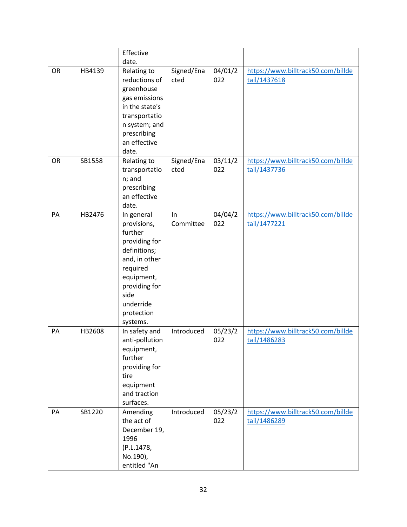|    |        | Effective                                                                                                                                                                        |                    |                |                                                    |
|----|--------|----------------------------------------------------------------------------------------------------------------------------------------------------------------------------------|--------------------|----------------|----------------------------------------------------|
|    |        | date.                                                                                                                                                                            |                    |                |                                                    |
| OR | HB4139 | Relating to<br>reductions of<br>greenhouse<br>gas emissions<br>in the state's<br>transportatio<br>n system; and<br>prescribing<br>an effective<br>date.                          | Signed/Ena<br>cted | 04/01/2<br>022 | https://www.billtrack50.com/billde<br>tail/1437618 |
| OR | SB1558 | Relating to<br>transportatio<br>n; and<br>prescribing<br>an effective<br>date.                                                                                                   | Signed/Ena<br>cted | 03/11/2<br>022 | https://www.billtrack50.com/billde<br>tail/1437736 |
| PA | HB2476 | In general<br>provisions,<br>further<br>providing for<br>definitions;<br>and, in other<br>required<br>equipment,<br>providing for<br>side<br>underride<br>protection<br>systems. | In<br>Committee    | 04/04/2<br>022 | https://www.billtrack50.com/billde<br>tail/1477221 |
| PA | HB2608 | In safety and<br>anti-pollution<br>equipment,<br>further<br>providing for<br>tire<br>equipment<br>and traction<br>surfaces.                                                      | Introduced         | 05/23/2<br>022 | https://www.billtrack50.com/billde<br>tail/1486283 |
| PA | SB1220 | Amending<br>the act of<br>December 19,<br>1996<br>(P.L.1478,<br>No.190),<br>entitled "An                                                                                         | Introduced         | 05/23/2<br>022 | https://www.billtrack50.com/billde<br>tail/1486289 |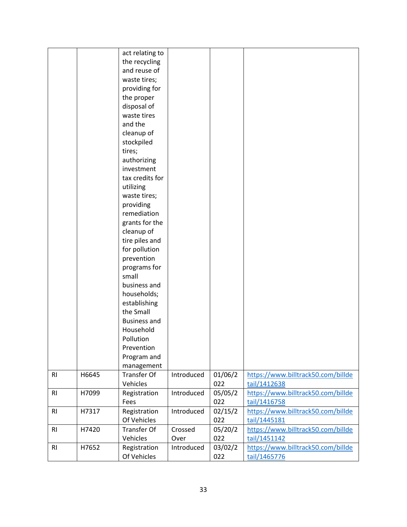|                |       | act relating to     |            |         |                                    |
|----------------|-------|---------------------|------------|---------|------------------------------------|
|                |       | the recycling       |            |         |                                    |
|                |       | and reuse of        |            |         |                                    |
|                |       | waste tires;        |            |         |                                    |
|                |       | providing for       |            |         |                                    |
|                |       | the proper          |            |         |                                    |
|                |       | disposal of         |            |         |                                    |
|                |       | waste tires         |            |         |                                    |
|                |       | and the             |            |         |                                    |
|                |       | cleanup of          |            |         |                                    |
|                |       | stockpiled          |            |         |                                    |
|                |       | tires;              |            |         |                                    |
|                |       | authorizing         |            |         |                                    |
|                |       | investment          |            |         |                                    |
|                |       | tax credits for     |            |         |                                    |
|                |       | utilizing           |            |         |                                    |
|                |       | waste tires;        |            |         |                                    |
|                |       | providing           |            |         |                                    |
|                |       | remediation         |            |         |                                    |
|                |       | grants for the      |            |         |                                    |
|                |       | cleanup of          |            |         |                                    |
|                |       | tire piles and      |            |         |                                    |
|                |       | for pollution       |            |         |                                    |
|                |       | prevention          |            |         |                                    |
|                |       | programs for        |            |         |                                    |
|                |       | small               |            |         |                                    |
|                |       | business and        |            |         |                                    |
|                |       | households;         |            |         |                                    |
|                |       | establishing        |            |         |                                    |
|                |       | the Small           |            |         |                                    |
|                |       | <b>Business and</b> |            |         |                                    |
|                |       | Household           |            |         |                                    |
|                |       | Pollution           |            |         |                                    |
|                |       | Prevention          |            |         |                                    |
|                |       | Program and         |            |         |                                    |
|                |       | management          |            |         |                                    |
| R1             | H6645 | <b>Transfer Of</b>  | Introduced | 01/06/2 | https://www.billtrack50.com/billde |
|                |       | Vehicles            |            | 022     | tail/1412638                       |
| R <sub>l</sub> | H7099 | Registration        | Introduced | 05/05/2 | https://www.billtrack50.com/billde |
|                |       | Fees                |            | 022     | tail/1416758                       |
| R1             | H7317 | Registration        | Introduced | 02/15/2 | https://www.billtrack50.com/billde |
|                |       | Of Vehicles         |            | 022     | tail/1445181                       |
|                |       | <b>Transfer Of</b>  |            |         |                                    |
| R1             | H7420 |                     | Crossed    | 05/20/2 | https://www.billtrack50.com/billde |
|                |       | Vehicles            | Over       | 022     | tail/1451142                       |
| R <sub>l</sub> | H7652 | Registration        | Introduced | 03/02/2 | https://www.billtrack50.com/billde |
|                |       | Of Vehicles         |            | 022     | tail/1465776                       |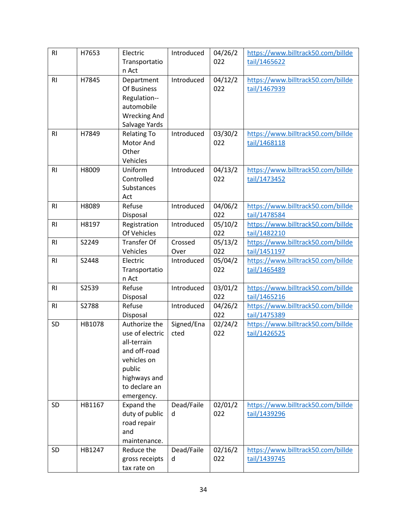| R <sub>l</sub> | H7653  | Electric<br>Transportatio        | Introduced         | 04/26/2<br>022 | https://www.billtrack50.com/billde<br>tail/1465622 |
|----------------|--------|----------------------------------|--------------------|----------------|----------------------------------------------------|
|                |        | n Act                            |                    |                |                                                    |
| R <sub>l</sub> | H7845  | Department                       | Introduced         | 04/12/2        | https://www.billtrack50.com/billde                 |
|                |        | Of Business                      |                    | 022            | tail/1467939                                       |
|                |        | Regulation--<br>automobile       |                    |                |                                                    |
|                |        | <b>Wrecking And</b>              |                    |                |                                                    |
|                |        | Salvage Yards                    |                    |                |                                                    |
| R <sub>l</sub> | H7849  | <b>Relating To</b>               | Introduced         | 03/30/2        | https://www.billtrack50.com/billde                 |
|                |        | Motor And                        |                    | 022            | tail/1468118                                       |
|                |        | Other                            |                    |                |                                                    |
|                |        | Vehicles                         |                    |                |                                                    |
| R1             | H8009  | Uniform                          | Introduced         | 04/13/2        | https://www.billtrack50.com/billde                 |
|                |        | Controlled<br>Substances         |                    | 022            | tail/1473452                                       |
|                |        | Act                              |                    |                |                                                    |
| R1             | H8089  | Refuse                           | Introduced         | 04/06/2        | https://www.billtrack50.com/billde                 |
|                |        | Disposal                         |                    | 022            | tail/1478584                                       |
| R <sub>l</sub> | H8197  | Registration                     | Introduced         | 05/10/2        | https://www.billtrack50.com/billde                 |
|                |        | Of Vehicles                      |                    | 022            | tail/1482210                                       |
| R <sub>l</sub> | S2249  | <b>Transfer Of</b>               | Crossed            | 05/13/2        | https://www.billtrack50.com/billde                 |
|                |        | Vehicles                         | Over               | 022            | tail/1451197                                       |
| R <sub>l</sub> | S2448  | Electric<br>Transportatio        | Introduced         | 05/04/2<br>022 | https://www.billtrack50.com/billde<br>tail/1465489 |
|                |        | n Act                            |                    |                |                                                    |
| R1             | S2539  | Refuse                           | Introduced         | 03/01/2        | https://www.billtrack50.com/billde                 |
|                |        | Disposal                         |                    | 022            | tail/1465216                                       |
| R <sub>l</sub> | S2788  | Refuse                           | Introduced         | 04/26/2        | https://www.billtrack50.com/billde                 |
|                |        | Disposal                         |                    | 022            | tail/1475389                                       |
| SD             | HB1078 | Authorize the<br>use of electric | Signed/Ena<br>cted | 02/24/2<br>022 | https://www.billtrack50.com/billde                 |
|                |        | all-terrain                      |                    |                | tail/1426525                                       |
|                |        | and off-road                     |                    |                |                                                    |
|                |        | vehicles on                      |                    |                |                                                    |
|                |        | public                           |                    |                |                                                    |
|                |        | highways and                     |                    |                |                                                    |
|                |        | to declare an                    |                    |                |                                                    |
|                |        | emergency.                       |                    |                |                                                    |
| SD             | HB1167 | Expand the<br>duty of public     | Dead/Faile<br>d    | 02/01/2<br>022 | https://www.billtrack50.com/billde<br>tail/1439296 |
|                |        | road repair                      |                    |                |                                                    |
|                |        | and                              |                    |                |                                                    |
|                |        | maintenance.                     |                    |                |                                                    |
| SD             | HB1247 | Reduce the                       | Dead/Faile         | 02/16/2        | https://www.billtrack50.com/billde                 |
|                |        | gross receipts                   | d                  | 022            | tail/1439745                                       |
|                |        | tax rate on                      |                    |                |                                                    |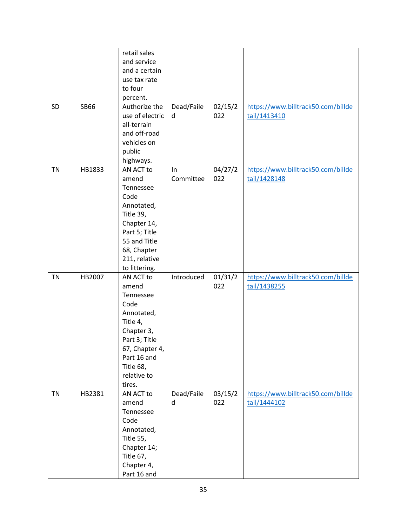| SD        | <b>SB66</b> | retail sales<br>and service<br>and a certain<br>use tax rate<br>to four<br>percent.<br>Authorize the<br>use of electric<br>all-terrain<br>and off-road<br>vehicles on<br>public<br>highways. | Dead/Faile<br>d | 02/15/2<br>022 | https://www.billtrack50.com/billde<br>tail/1413410 |
|-----------|-------------|----------------------------------------------------------------------------------------------------------------------------------------------------------------------------------------------|-----------------|----------------|----------------------------------------------------|
| <b>TN</b> | HB1833      | AN ACT to<br>amend<br>Tennessee<br>Code<br>Annotated,<br>Title 39,<br>Chapter 14,<br>Part 5; Title<br>55 and Title<br>68, Chapter<br>211, relative<br>to littering.                          | In<br>Committee | 04/27/2<br>022 | https://www.billtrack50.com/billde<br>tail/1428148 |
| <b>TN</b> | HB2007      | AN ACT to<br>amend<br>Tennessee<br>Code<br>Annotated,<br>Title 4,<br>Chapter 3,<br>Part 3; Title<br>67, Chapter 4,<br>Part 16 and<br>Title 68,<br>relative to<br>tires.                      | Introduced      | 01/31/2<br>022 | https://www.billtrack50.com/billde<br>tail/1438255 |
| <b>TN</b> | HB2381      | AN ACT to<br>amend<br>Tennessee<br>Code<br>Annotated,<br>Title 55,<br>Chapter 14;<br>Title 67,<br>Chapter 4,<br>Part 16 and                                                                  | Dead/Faile<br>d | 03/15/2<br>022 | https://www.billtrack50.com/billde<br>tail/1444102 |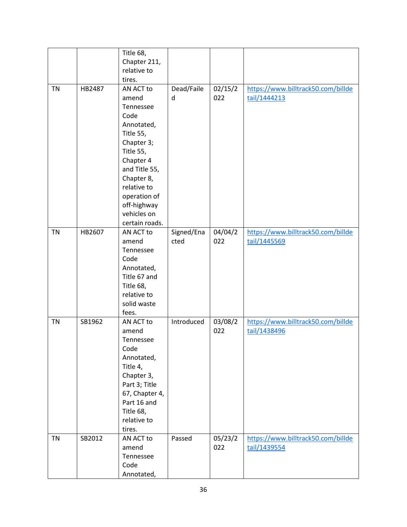|           |        | Title 68,            |            |         |                                    |
|-----------|--------|----------------------|------------|---------|------------------------------------|
|           |        | Chapter 211,         |            |         |                                    |
|           |        | relative to          |            |         |                                    |
|           |        | tires.               |            |         |                                    |
| <b>TN</b> | HB2487 | AN ACT to            | Dead/Faile | 02/15/2 | https://www.billtrack50.com/billde |
|           |        | amend                | d          | 022     | tail/1444213                       |
|           |        | Tennessee            |            |         |                                    |
|           |        | Code                 |            |         |                                    |
|           |        | Annotated,           |            |         |                                    |
|           |        | Title 55,            |            |         |                                    |
|           |        | Chapter 3;           |            |         |                                    |
|           |        | Title 55,            |            |         |                                    |
|           |        | Chapter 4            |            |         |                                    |
|           |        | and Title 55,        |            |         |                                    |
|           |        | Chapter 8,           |            |         |                                    |
|           |        | relative to          |            |         |                                    |
|           |        | operation of         |            |         |                                    |
|           |        | off-highway          |            |         |                                    |
|           |        | vehicles on          |            |         |                                    |
|           |        | certain roads.       |            |         |                                    |
| <b>TN</b> | HB2607 | AN ACT to            | Signed/Ena | 04/04/2 | https://www.billtrack50.com/billde |
|           |        | amend                | cted       | 022     | tail/1445569                       |
|           |        | Tennessee            |            |         |                                    |
|           |        | Code                 |            |         |                                    |
|           |        | Annotated,           |            |         |                                    |
|           |        | Title 67 and         |            |         |                                    |
|           |        | Title 68,            |            |         |                                    |
|           |        | relative to          |            |         |                                    |
|           |        | solid waste<br>fees. |            |         |                                    |
| <b>TN</b> | SB1962 | AN ACT to            | Introduced | 03/08/2 | https://www.billtrack50.com/billde |
|           |        | amend                |            | 022     | tail/1438496                       |
|           |        | Tennessee            |            |         |                                    |
|           |        | Code                 |            |         |                                    |
|           |        | Annotated,           |            |         |                                    |
|           |        | Title 4,             |            |         |                                    |
|           |        | Chapter 3,           |            |         |                                    |
|           |        | Part 3; Title        |            |         |                                    |
|           |        | 67, Chapter 4,       |            |         |                                    |
|           |        | Part 16 and          |            |         |                                    |
|           |        | Title 68,            |            |         |                                    |
|           |        | relative to          |            |         |                                    |
|           |        | tires.               |            |         |                                    |
| <b>TN</b> | SB2012 | AN ACT to            | Passed     | 05/23/2 | https://www.billtrack50.com/billde |
|           |        | amend                |            | 022     | tail/1439554                       |
|           |        | Tennessee            |            |         |                                    |
|           |        | Code                 |            |         |                                    |
|           |        | Annotated,           |            |         |                                    |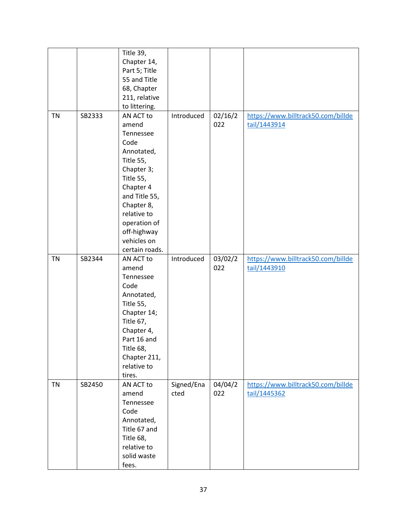|           |        | Title 39,<br>Chapter 14,<br>Part 5; Title<br>55 and Title<br>68, Chapter<br>211, relative<br>to littering.                                                                                                               |                    |                |                                                    |
|-----------|--------|--------------------------------------------------------------------------------------------------------------------------------------------------------------------------------------------------------------------------|--------------------|----------------|----------------------------------------------------|
| <b>TN</b> | SB2333 | AN ACT to<br>amend<br>Tennessee<br>Code<br>Annotated,<br>Title 55,<br>Chapter 3;<br>Title 55,<br>Chapter 4<br>and Title 55,<br>Chapter 8,<br>relative to<br>operation of<br>off-highway<br>vehicles on<br>certain roads. | Introduced         | 02/16/2<br>022 | https://www.billtrack50.com/billde<br>tail/1443914 |
| <b>TN</b> | SB2344 | AN ACT to<br>amend<br>Tennessee<br>Code<br>Annotated,<br>Title 55,<br>Chapter 14;<br>Title 67,<br>Chapter 4,<br>Part 16 and<br>Title 68,<br>Chapter 211,<br>relative to<br>tires.                                        | Introduced         | 03/02/2<br>022 | https://www.billtrack50.com/billde<br>tail/1443910 |
| <b>TN</b> | SB2450 | AN ACT to<br>amend<br>Tennessee<br>Code<br>Annotated,<br>Title 67 and<br>Title 68,<br>relative to<br>solid waste<br>fees.                                                                                                | Signed/Ena<br>cted | 04/04/2<br>022 | https://www.billtrack50.com/billde<br>tail/1445362 |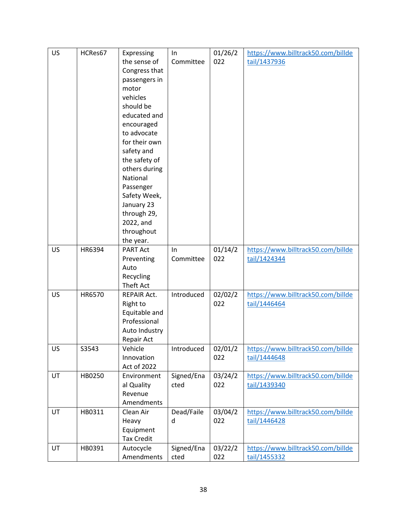| 01/26/2<br>https://www.billtrack50.com/billde<br>Expressing<br>the sense of<br>Committee<br>022<br>tail/1437936<br>Congress that<br>passengers in<br>motor<br>vehicles<br>should be<br>educated and<br>encouraged<br>to advocate<br>for their own<br>safety and<br>the safety of |  |
|----------------------------------------------------------------------------------------------------------------------------------------------------------------------------------------------------------------------------------------------------------------------------------|--|
|                                                                                                                                                                                                                                                                                  |  |
|                                                                                                                                                                                                                                                                                  |  |
|                                                                                                                                                                                                                                                                                  |  |
|                                                                                                                                                                                                                                                                                  |  |
|                                                                                                                                                                                                                                                                                  |  |
|                                                                                                                                                                                                                                                                                  |  |
|                                                                                                                                                                                                                                                                                  |  |
|                                                                                                                                                                                                                                                                                  |  |
|                                                                                                                                                                                                                                                                                  |  |
|                                                                                                                                                                                                                                                                                  |  |
|                                                                                                                                                                                                                                                                                  |  |
|                                                                                                                                                                                                                                                                                  |  |
| others during                                                                                                                                                                                                                                                                    |  |
| National                                                                                                                                                                                                                                                                         |  |
| Passenger                                                                                                                                                                                                                                                                        |  |
| Safety Week,                                                                                                                                                                                                                                                                     |  |
| January 23                                                                                                                                                                                                                                                                       |  |
| through 29,                                                                                                                                                                                                                                                                      |  |
| 2022, and                                                                                                                                                                                                                                                                        |  |
| throughout                                                                                                                                                                                                                                                                       |  |
| the year.                                                                                                                                                                                                                                                                        |  |
| 01/14/2<br>HR6394<br><b>PART Act</b><br>https://www.billtrack50.com/billde<br>US<br>In                                                                                                                                                                                           |  |
| 022<br>Committee<br>tail/1424344<br>Preventing                                                                                                                                                                                                                                   |  |
| Auto                                                                                                                                                                                                                                                                             |  |
| Recycling                                                                                                                                                                                                                                                                        |  |
| Theft Act                                                                                                                                                                                                                                                                        |  |
| <b>US</b><br>HR6570<br>Introduced<br>02/02/2<br>https://www.billtrack50.com/billde<br><b>REPAIR Act.</b>                                                                                                                                                                         |  |
| Right to<br>022<br>tail/1446464                                                                                                                                                                                                                                                  |  |
| Equitable and                                                                                                                                                                                                                                                                    |  |
| Professional                                                                                                                                                                                                                                                                     |  |
| Auto Industry                                                                                                                                                                                                                                                                    |  |
| Repair Act                                                                                                                                                                                                                                                                       |  |
| US<br>S3543<br>Vehicle<br>Introduced<br>02/01/2<br>https://www.billtrack50.com/billde                                                                                                                                                                                            |  |
| Innovation<br>022<br>tail/1444648                                                                                                                                                                                                                                                |  |
| Act of 2022                                                                                                                                                                                                                                                                      |  |
| Signed/Ena<br>UT<br>HB0250<br>03/24/2<br>https://www.billtrack50.com/billde<br>Environment                                                                                                                                                                                       |  |
| al Quality<br>022<br>tail/1439340<br>cted                                                                                                                                                                                                                                        |  |
| Revenue                                                                                                                                                                                                                                                                          |  |
| Amendments<br>03/04/2<br>UT<br>HB0311<br>Clean Air<br>Dead/Faile<br>https://www.billtrack50.com/billde                                                                                                                                                                           |  |
| 022                                                                                                                                                                                                                                                                              |  |
| Heavy<br>tail/1446428<br>d<br>Equipment                                                                                                                                                                                                                                          |  |
| <b>Tax Credit</b>                                                                                                                                                                                                                                                                |  |
| UT<br>HB0391<br>Signed/Ena<br>03/22/2<br>Autocycle<br>https://www.billtrack50.com/billde                                                                                                                                                                                         |  |
| Amendments<br>022<br>tail/1455332<br>cted                                                                                                                                                                                                                                        |  |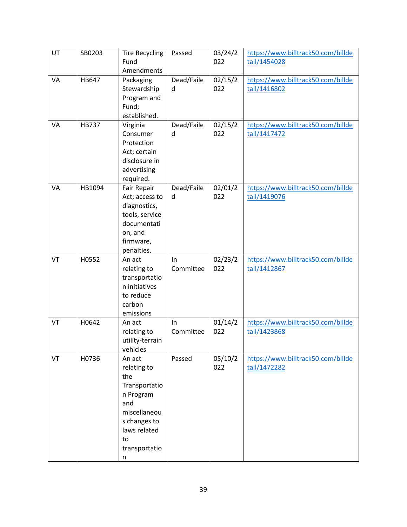| UT | SB0203       | <b>Tire Recycling</b><br>Fund<br>Amendments                                                                                                   | Passed           | 03/24/2<br>022 | https://www.billtrack50.com/billde<br>tail/1454028 |
|----|--------------|-----------------------------------------------------------------------------------------------------------------------------------------------|------------------|----------------|----------------------------------------------------|
| VA | HB647        | Packaging<br>Stewardship<br>Program and<br>Fund;<br>established.                                                                              | Dead/Faile<br>d  | 02/15/2<br>022 | https://www.billtrack50.com/billde<br>tail/1416802 |
| VA | <b>HB737</b> | Virginia<br>Consumer<br>Protection<br>Act; certain<br>disclosure in<br>advertising<br>required.                                               | Dead/Faile<br>d  | 02/15/2<br>022 | https://www.billtrack50.com/billde<br>tail/1417472 |
| VA | HB1094       | Fair Repair<br>Act; access to<br>diagnostics,<br>tools, service<br>documentati<br>on, and<br>firmware,<br>penalties.                          | Dead/Faile<br>d  | 02/01/2<br>022 | https://www.billtrack50.com/billde<br>tail/1419076 |
| VT | H0552        | An act<br>relating to<br>transportatio<br>n initiatives<br>to reduce<br>carbon<br>emissions                                                   | In.<br>Committee | 02/23/2<br>022 | https://www.billtrack50.com/billde<br>tail/1412867 |
| VT | H0642        | An act<br>relating to<br>utility-terrain<br>vehicles                                                                                          | In<br>Committee  | 01/14/2<br>022 | https://www.billtrack50.com/billde<br>tail/1423868 |
| VT | H0736        | An act<br>relating to<br>the<br>Transportatio<br>n Program<br>and<br>miscellaneou<br>s changes to<br>laws related<br>to<br>transportatio<br>n | Passed           | 05/10/2<br>022 | https://www.billtrack50.com/billde<br>tail/1472282 |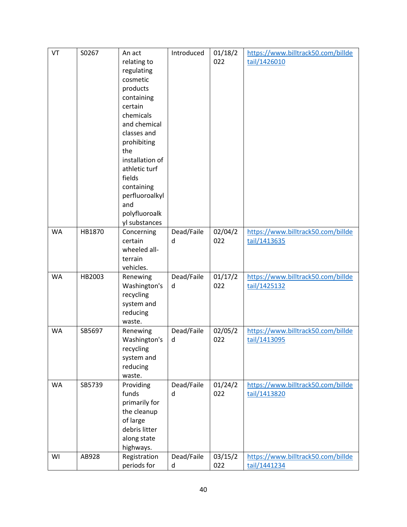| VT        | S0267  | An act          | Introduced | 01/18/2 | https://www.billtrack50.com/billde |
|-----------|--------|-----------------|------------|---------|------------------------------------|
|           |        | relating to     |            | 022     | tail/1426010                       |
|           |        | regulating      |            |         |                                    |
|           |        | cosmetic        |            |         |                                    |
|           |        | products        |            |         |                                    |
|           |        | containing      |            |         |                                    |
|           |        | certain         |            |         |                                    |
|           |        |                 |            |         |                                    |
|           |        | chemicals       |            |         |                                    |
|           |        | and chemical    |            |         |                                    |
|           |        | classes and     |            |         |                                    |
|           |        | prohibiting     |            |         |                                    |
|           |        | the             |            |         |                                    |
|           |        | installation of |            |         |                                    |
|           |        | athletic turf   |            |         |                                    |
|           |        | fields          |            |         |                                    |
|           |        | containing      |            |         |                                    |
|           |        | perfluoroalkyl  |            |         |                                    |
|           |        | and             |            |         |                                    |
|           |        | polyfluoroalk   |            |         |                                    |
|           |        | yl substances   |            |         |                                    |
| <b>WA</b> | HB1870 | Concerning      | Dead/Faile | 02/04/2 | https://www.billtrack50.com/billde |
|           |        | certain         | d          | 022     | tail/1413635                       |
|           |        | wheeled all-    |            |         |                                    |
|           |        | terrain         |            |         |                                    |
|           |        | vehicles.       |            |         |                                    |
| <b>WA</b> | HB2003 | Renewing        | Dead/Faile | 01/17/2 | https://www.billtrack50.com/billde |
|           |        | Washington's    | d          | 022     | tail/1425132                       |
|           |        | recycling       |            |         |                                    |
|           |        | system and      |            |         |                                    |
|           |        | reducing        |            |         |                                    |
|           |        | waste.          |            |         |                                    |
| <b>WA</b> | SB5697 | Renewing        | Dead/Faile | 02/05/2 | https://www.billtrack50.com/billde |
|           |        | Washington's    | d          | 022     | tail/1413095                       |
|           |        | recycling       |            |         |                                    |
|           |        | system and      |            |         |                                    |
|           |        | reducing        |            |         |                                    |
|           |        | waste.          |            |         |                                    |
| <b>WA</b> | SB5739 | Providing       | Dead/Faile | 01/24/2 | https://www.billtrack50.com/billde |
|           |        | funds           | d          | 022     | tail/1413820                       |
|           |        | primarily for   |            |         |                                    |
|           |        | the cleanup     |            |         |                                    |
|           |        | of large        |            |         |                                    |
|           |        | debris litter   |            |         |                                    |
|           |        | along state     |            |         |                                    |
|           |        | highways.       |            |         |                                    |
| WI        | AB928  | Registration    | Dead/Faile | 03/15/2 | https://www.billtrack50.com/billde |
|           |        | periods for     | d          | 022     | tail/1441234                       |
|           |        |                 |            |         |                                    |